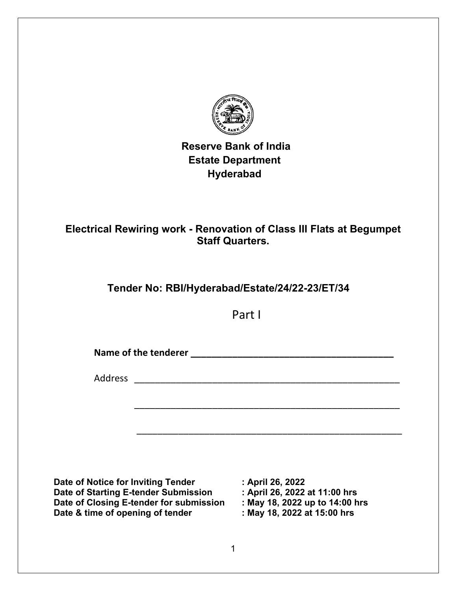

# **Reserve Bank of India Estate Department Hyderabad**

# **Electrical Rewiring work - Renovation of Class III Flats at Begumpet Staff Quarters.**

# **Tender No: RBI/Hyderabad/Estate/24/22-23/ET/34**

Part I

Name of the tenderer **Name of the tenderer Name of the tenderer** 

\_\_\_\_\_\_\_\_\_\_\_\_\_\_\_\_\_\_\_\_\_\_\_\_\_\_\_\_\_\_\_\_\_\_\_\_\_\_\_\_\_\_\_\_\_\_\_\_\_\_\_

\_\_\_\_\_\_\_\_\_\_\_\_\_\_\_\_\_\_\_\_\_\_\_\_\_\_\_\_\_\_\_\_\_\_\_\_\_\_\_\_\_\_\_\_\_\_\_\_\_\_\_

Address \_\_\_\_\_\_\_\_\_\_\_\_\_\_\_\_\_\_\_\_\_\_\_\_\_\_\_\_\_\_\_\_\_\_\_\_\_\_\_\_\_\_\_\_\_\_\_\_\_\_\_

**Date of Notice for Inviting Tender : April 26, 2022 Date of Starting E-tender Submission : April 26, 2022 at 11:00 hrs Date of Closing E-tender for submission Date & time of opening of tender : May 18, 2022 at 15:00 hrs**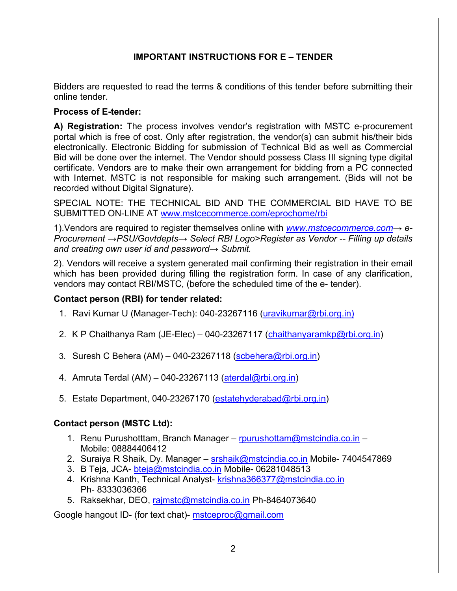## **IMPORTANT INSTRUCTIONS FOR E – TENDER**

Bidders are requested to read the terms & conditions of this tender before submitting their online tender.

### **Process of E-tender:**

**A) Registration:** The process involves vendor's registration with MSTC e-procurement portal which is free of cost. Only after registration, the vendor(s) can submit his/their bids electronically. Electronic Bidding for submission of Technical Bid as well as Commercial Bid will be done over the internet. The Vendor should possess Class III signing type digital certificate. Vendors are to make their own arrangement for bidding from a PC connected with Internet. MSTC is not responsible for making such arrangement. (Bids will not be recorded without Digital Signature).

SPECIAL NOTE: THE TECHNICAL BID AND THE COMMERCIAL BID HAVE TO BE SUBMITTED ON-LINE AT [www.mstcecommerce.com/eprochome/rbi](https://www.mstcecommerce.com/eprochome/rbi)

1).Vendors are required to register themselves online with *[www.mstcecommerce.com](https://www.mstcecommerce.com/)→ e-Procurement →PSU/Govtdepts→ Select RBI Logo>Register as Vendor -- Filling up details and creating own user id and password→ Submit.*

2). Vendors will receive a system generated mail confirming their registration in their email which has been provided during filling the registration form. In case of any clarification, vendors may contact RBI/MSTC, (before the scheduled time of the e- tender).

## **Contact person (RBI) for tender related:**

- 1. Ravi Kumar U (Manager-Tech): 040-23267116 [\(uravikumar@rbi.org.in\)](mailto:uravikumar@rbi.org.in))
- 2. K P Chaithanya Ram (JE-Elec) 040-23267117 [\(chaithanyaramkp@rbi.org.in\)](mailto:chaithanyaramkp@rbi.org.in)
- 3. Suresh C Behera  $(AM)$  040-23267118 [\(scbehera@rbi.org.in\)](mailto:scbehera@rbi.org.in)
- 4. Amruta Terdal (AM) 040-23267113 [\(aterdal@rbi.org.in\)](mailto:aterdal@rbi.org.in)
- 5. Estate Department, 040-23267170 [\(estatehyderabad@rbi.org.in\)](mailto:estatehyderabad@rbi.org.in)

## **Contact person (MSTC Ltd):**

- 1. Renu Purushotttam, Branch Manager – [rpurushottam@mstcindia.co.in](mailto:rpurushottam@mstcindia.co.in)  Mobile: 08884406412
- 2. Suraiya R Shaik, Dy. Manager – [srshaik@mstcindia.co.in](mailto:srshaik@mstcindia.co.in) Mobile- 7404547869
- 3. B Teja, JCA- [bteja@mstcindia.co.in](mailto:bteja@mstcindia.co.in) Mobile- 06281048513
- 4. Krishna Kanth, Technical Analyst- krishna366377@mstcindia.co.in Ph- 8333036366
- 5. Raksekhar, DEO, [rajmstc@mstcindia.co.in](mailto:rajmstc@mstcindia.co.in) Ph-8464073640

Google hangout ID- (for text chat)- [mstceproc@gmail.com](mailto:mstceproc@gmail.com)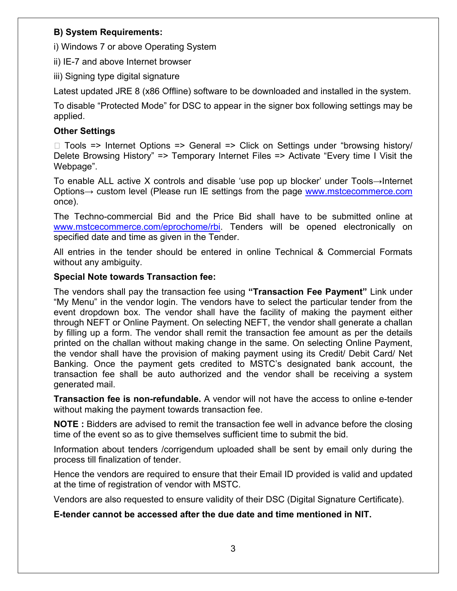## **B) System Requirements:**

i) Windows 7 or above Operating System

ii) IE-7 and above Internet browser

iii) Signing type digital signature

Latest updated JRE 8 (x86 Offline) software to be downloaded and installed in the system.

To disable "Protected Mode" for DSC to appear in the signer box following settings may be applied.

## **Other Settings**

□ Tools => Internet Options => General => Click on Settings under "browsing history/ Delete Browsing History" => Temporary Internet Files => Activate "Every time I Visit the Webpage".

To enable ALL active X controls and disable 'use pop up blocker' under Tools→Internet Options→ custom level (Please run IE settings from the page [www.mstcecommerce.com](https://www.mstcecommerce.com/) once).

The Techno-commercial Bid and the Price Bid shall have to be submitted online at [www.mstcecommerce.com/eprochome/rbi.](https://www.mstcecommerce.com/eprochome/rbi/) Tenders will be opened electronically on specified date and time as given in the Tender.

All entries in the tender should be entered in online Technical & Commercial Formats without any ambiguity.

### **Special Note towards Transaction fee:**

The vendors shall pay the transaction fee using **"Transaction Fee Payment"** Link under "My Menu" in the vendor login. The vendors have to select the particular tender from the event dropdown box. The vendor shall have the facility of making the payment either through NEFT or Online Payment. On selecting NEFT, the vendor shall generate a challan by filling up a form. The vendor shall remit the transaction fee amount as per the details printed on the challan without making change in the same. On selecting Online Payment, the vendor shall have the provision of making payment using its Credit/ Debit Card/ Net Banking. Once the payment gets credited to MSTC's designated bank account, the transaction fee shall be auto authorized and the vendor shall be receiving a system generated mail.

**Transaction fee is non-refundable.** A vendor will not have the access to online e-tender without making the payment towards transaction fee.

**NOTE :** Bidders are advised to remit the transaction fee well in advance before the closing time of the event so as to give themselves sufficient time to submit the bid.

Information about tenders /corrigendum uploaded shall be sent by email only during the process till finalization of tender.

Hence the vendors are required to ensure that their Email ID provided is valid and updated at the time of registration of vendor with MSTC.

Vendors are also requested to ensure validity of their DSC (Digital Signature Certificate).

**E-tender cannot be accessed after the due date and time mentioned in NIT.**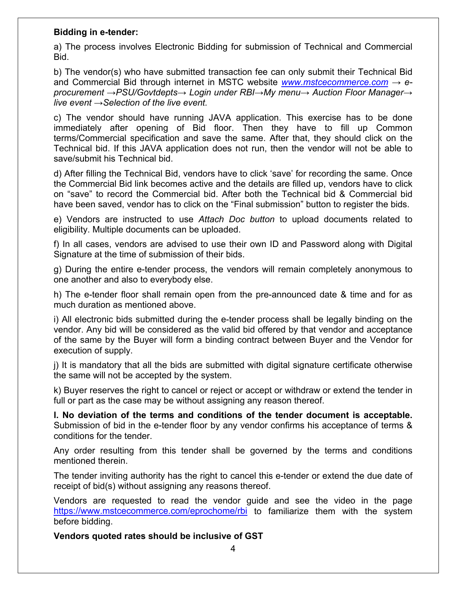### **Bidding in e-tender:**

a) The process involves Electronic Bidding for submission of Technical and Commercial Bid.

b) The vendor(s) who have submitted transaction fee can only submit their Technical Bid and Commercial Bid through internet in MSTC website *[www.mstcecommerce.com](https://www.mstcecommerce.com/) → eprocurement →PSU/Govtdepts→ Login under RBI→My menu→ Auction Floor Manager→ live event →Selection of the live event.*

c) The vendor should have running JAVA application. This exercise has to be done immediately after opening of Bid floor. Then they have to fill up Common terms/Commercial specification and save the same. After that, they should click on the Technical bid. If this JAVA application does not run, then the vendor will not be able to save/submit his Technical bid.

d) After filling the Technical Bid, vendors have to click 'save' for recording the same. Once the Commercial Bid link becomes active and the details are filled up, vendors have to click on "save" to record the Commercial bid. After both the Technical bid & Commercial bid have been saved, vendor has to click on the "Final submission" button to register the bids.

e) Vendors are instructed to use *Attach Doc button* to upload documents related to eligibility. Multiple documents can be uploaded.

f) In all cases, vendors are advised to use their own ID and Password along with Digital Signature at the time of submission of their bids.

g) During the entire e-tender process, the vendors will remain completely anonymous to one another and also to everybody else.

h) The e-tender floor shall remain open from the pre-announced date & time and for as much duration as mentioned above.

i) All electronic bids submitted during the e-tender process shall be legally binding on the vendor. Any bid will be considered as the valid bid offered by that vendor and acceptance of the same by the Buyer will form a binding contract between Buyer and the Vendor for execution of supply.

j) It is mandatory that all the bids are submitted with digital signature certificate otherwise the same will not be accepted by the system.

k) Buyer reserves the right to cancel or reject or accept or withdraw or extend the tender in full or part as the case may be without assigning any reason thereof.

**l. No deviation of the terms and conditions of the tender document is acceptable.**  Submission of bid in the e-tender floor by any vendor confirms his acceptance of terms & conditions for the tender.

Any order resulting from this tender shall be governed by the terms and conditions mentioned therein.

The tender inviting authority has the right to cancel this e-tender or extend the due date of receipt of bid(s) without assigning any reasons thereof.

Vendors are requested to read the vendor guide and see the video in the page <https://www.mstcecommerce.com/eprochome/rbi> to familiarize them with the system before bidding.

**Vendors quoted rates should be inclusive of GST**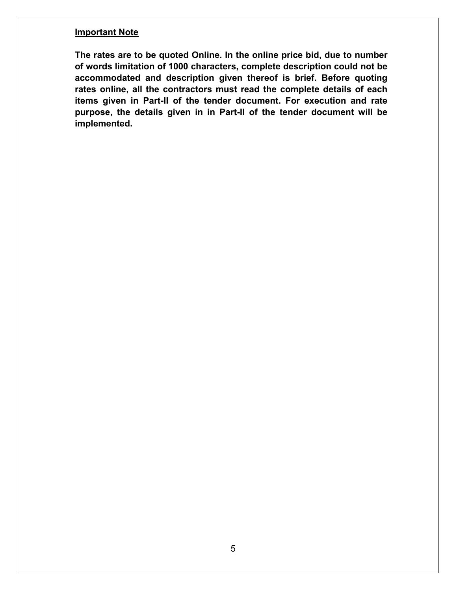#### **Important Note**

**The rates are to be quoted Online. In the online price bid, due to number of words limitation of 1000 characters, complete description could not be accommodated and description given thereof is brief. Before quoting rates online, all the contractors must read the complete details of each items given in Part-II of the tender document. For execution and rate purpose, the details given in in Part-II of the tender document will be implemented.**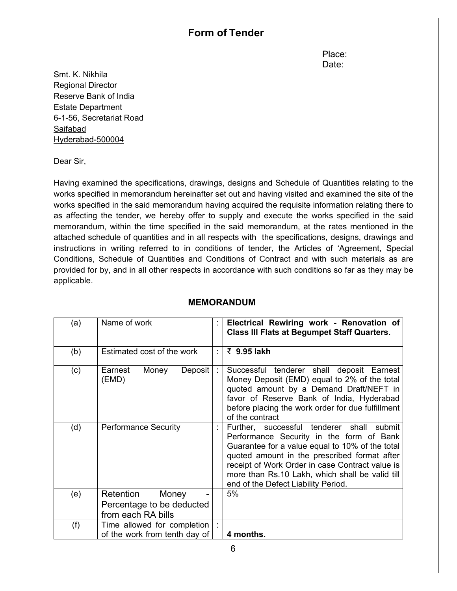## **Form of Tender**

**Place:** The contract of the contract of the contract of the Place: discussion of the contract of the contract of the contract of the Date:

Smt. K. Nikhila Regional Director Reserve Bank of India Estate Department 6-1-56, Secretariat Road Saifabad Hyderabad-500004

Dear Sir,

Having examined the specifications, drawings, designs and Schedule of Quantities relating to the works specified in memorandum hereinafter set out and having visited and examined the site of the works specified in the said memorandum having acquired the requisite information relating there to as affecting the tender, we hereby offer to supply and execute the works specified in the said memorandum, within the time specified in the said memorandum, at the rates mentioned in the attached schedule of quantities and in all respects with the specifications, designs, drawings and instructions in writing referred to in conditions of tender, the Articles of 'Agreement, Special Conditions, Schedule of Quantities and Conditions of Contract and with such materials as are provided for by, and in all other respects in accordance with such conditions so far as they may be applicable.

| (a) | Name of work                                                          |    | Electrical Rewiring work - Renovation of<br><b>Class III Flats at Begumpet Staff Quarters.</b>                                                                                                                                                                                                                                           |
|-----|-----------------------------------------------------------------------|----|------------------------------------------------------------------------------------------------------------------------------------------------------------------------------------------------------------------------------------------------------------------------------------------------------------------------------------------|
| (b) | Estimated cost of the work                                            | ÷. | ₹ 9.95 lakh                                                                                                                                                                                                                                                                                                                              |
| (c) | Deposit<br>Earnest<br>Money<br>(EMD)                                  |    | Successful tenderer shall deposit Earnest<br>Money Deposit (EMD) equal to 2% of the total<br>quoted amount by a Demand Draft/NEFT in<br>favor of Reserve Bank of India, Hyderabad<br>before placing the work order for due fulfillment<br>of the contract                                                                                |
| (d) | <b>Performance Security</b>                                           |    | Further, successful tenderer shall<br>submit<br>Performance Security in the form of Bank<br>Guarantee for a value equal to 10% of the total<br>quoted amount in the prescribed format after<br>receipt of Work Order in case Contract value is<br>more than Rs.10 Lakh, which shall be valid till<br>end of the Defect Liability Period. |
| (e) | Retention<br>Money<br>Percentage to be deducted<br>from each RA bills |    | 5%                                                                                                                                                                                                                                                                                                                                       |
| (f) | Time allowed for completion<br>of the work from tenth day of          |    | 4 months.                                                                                                                                                                                                                                                                                                                                |

### **MEMORANDUM**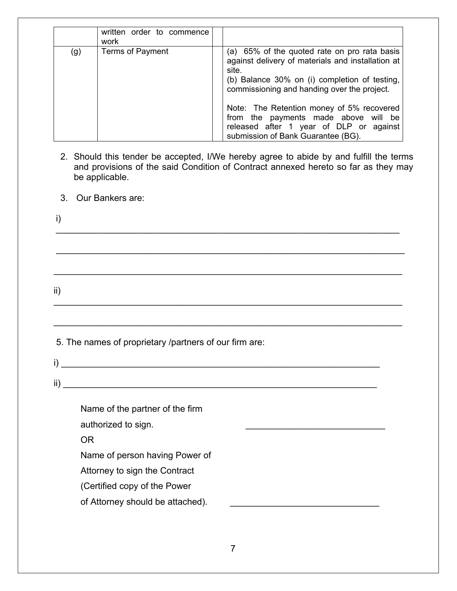|     | written order to commence<br>work |                                                                                                                                                                                                                                                                                                                                                                                  |
|-----|-----------------------------------|----------------------------------------------------------------------------------------------------------------------------------------------------------------------------------------------------------------------------------------------------------------------------------------------------------------------------------------------------------------------------------|
| (g) | Terms of Payment                  | (a) 65% of the quoted rate on pro rata basis<br>against delivery of materials and installation at<br>site.<br>(b) Balance 30% on (i) completion of testing,<br>commissioning and handing over the project.<br>Note: The Retention money of 5% recovered<br>from the payments made above will be<br>released after 1 year of DLP or against<br>submission of Bank Guarantee (BG). |

- 2. Should this tender be accepted, I/We hereby agree to abide by and fulfill the terms and provisions of the said Condition of Contract annexed hereto so far as they may be applicable.
- 3. Our Bankers are:

i) \_\_\_\_\_\_\_\_\_\_\_\_\_\_\_\_\_\_\_\_\_\_\_\_\_\_\_\_\_\_\_\_\_\_\_\_\_\_\_\_\_\_\_\_\_\_\_\_\_\_\_\_\_\_\_\_\_\_\_\_\_\_\_\_\_\_\_\_\_ \_\_\_\_\_\_\_\_\_\_\_\_\_\_\_\_\_\_\_\_\_\_\_\_\_\_\_\_\_\_\_\_\_\_\_\_\_\_\_\_\_\_\_\_\_\_\_\_\_\_\_\_\_\_\_\_\_\_\_\_\_\_\_\_\_\_\_\_\_\_

\_\_\_\_\_\_\_\_\_\_\_\_\_\_\_\_\_\_\_\_\_\_\_\_\_\_\_\_\_\_\_\_\_\_\_\_\_\_\_\_\_\_\_\_\_\_\_\_\_\_\_\_\_\_\_\_\_\_\_\_\_\_\_\_\_\_\_\_\_\_

\_\_\_\_\_\_\_\_\_\_\_\_\_\_\_\_\_\_\_\_\_\_\_\_\_\_\_\_\_\_\_\_\_\_\_\_\_\_\_\_\_\_\_\_\_\_\_\_\_\_\_\_\_\_\_\_\_\_\_\_\_\_\_\_\_\_\_\_\_\_

\_\_\_\_\_\_\_\_\_\_\_\_\_\_\_\_\_\_\_\_\_\_\_\_\_\_\_\_\_\_\_\_\_\_\_\_\_\_\_\_\_\_\_\_\_\_\_\_\_\_\_\_\_\_\_\_\_\_\_\_\_\_\_\_\_\_\_\_\_\_

ii)

5. The names of proprietary /partners of our firm are:

 $i)$   $\overline{\phantom{a}}$  $\overline{\text{ii}}$ )

Name of the partner of the firm authorized to sign.

OR

Name of person having Power of

Attorney to sign the Contract

- (Certified copy of the Power
- of Attorney should be attached).  $\Box$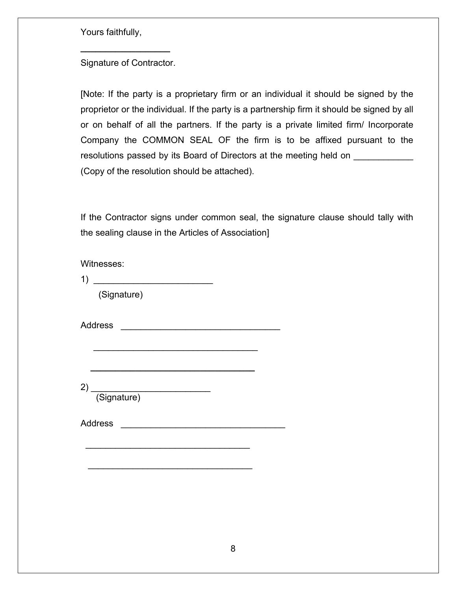Yours faithfully,

Signature of Contractor.

**\_\_\_\_\_\_\_\_\_\_\_\_\_\_\_\_\_\_**

[Note: If the party is a proprietary firm or an individual it should be signed by the proprietor or the individual. If the party is a partnership firm it should be signed by all or on behalf of all the partners. If the party is a private limited firm/ Incorporate Company the COMMON SEAL OF the firm is to be affixed pursuant to the resolutions passed by its Board of Directors at the meeting held on (Copy of the resolution should be attached).

If the Contractor signs under common seal, the signature clause should tally with the sealing clause in the Articles of Association]

Witnesses:

 $1)$ 

(Signature)

Address \_\_\_\_\_\_\_\_\_\_\_\_\_\_\_\_\_\_\_\_\_\_\_\_\_\_\_\_\_\_\_\_

2) \_\_\_\_\_\_\_\_\_\_\_\_\_\_\_\_\_\_\_\_\_\_\_\_ (Signature)

Address \_\_\_\_\_\_\_\_\_\_\_\_\_\_\_\_\_\_\_\_\_\_\_\_\_\_\_\_\_\_\_\_\_

\_\_\_\_\_\_\_\_\_\_\_\_\_\_\_\_\_\_\_\_\_\_\_\_\_\_\_\_\_\_\_\_\_

\_\_\_\_\_\_\_\_\_\_\_\_\_\_\_\_\_\_\_\_\_\_\_\_\_\_\_\_\_\_\_\_\_

\_\_\_\_\_\_\_\_\_\_\_\_\_\_\_\_\_\_\_\_\_\_\_\_\_\_\_\_\_\_\_\_\_

 **\_\_\_\_\_\_\_\_\_\_\_\_\_\_\_\_\_\_\_\_\_\_\_\_\_\_\_\_\_\_\_\_\_**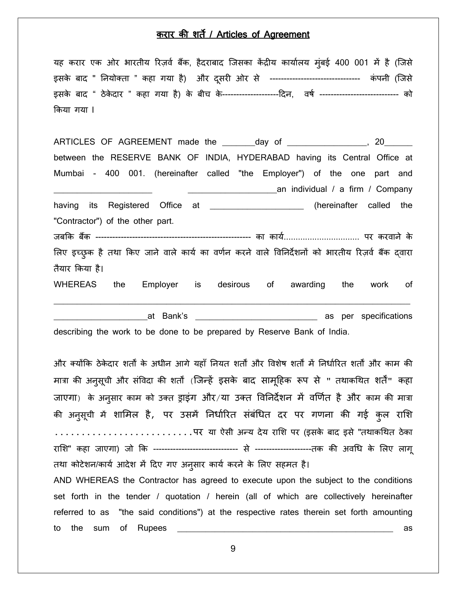### करार क� शत� / Articles of Agreement

यह करार एक ओर भारतीय रिज़र्व बैंक, हैदराबाद जिसका केंद्रीय कार्यालय मुंबई 400 001 में है (जिसे इसके बाद " नियोक्ता " कहा गया है) और दूसरी ओर से -------------------------------- कंपनी (जिसे इसके बाद " ठेके दार " कहा गया है) के बीच के--------------------�दन, वषर् ---------------------------- को �कया गया l

ARTICLES OF AGREEMENT made the \_\_\_\_\_\_\_day of \_\_\_\_\_\_\_\_\_\_\_\_\_\_\_\_, 20\_\_\_\_\_\_\_\_ between the RESERVE BANK OF INDIA, HYDERABAD having its Central Office at Mumbai - 400 001. (hereinafter called "the Employer") of the one part and \_\_\_\_\_\_\_\_\_\_\_\_\_\_\_\_\_\_\_\_\_ \_\_\_\_\_\_\_\_\_\_\_\_\_\_\_\_\_\_\_an individual / a firm / Company having its Registered Office at \_\_\_\_\_\_\_\_\_\_\_\_\_\_\_\_\_\_\_ (hereinafter called the "Contractor") of the other part. जब�क बक � ------------------------------------------------------- का कायर्................................ पर करवाने के लिए इच्छुक है तथा किए जाने वाले कार्य का वर्णन करने वाले विनिर्देशनों को भारतीय रिज़र्व बैंक द्वारा तैयार �कया है। WHEREAS the Employer is desirous of awarding the work of \_\_\_\_\_\_\_\_\_\_\_\_\_\_\_\_\_\_\_\_\_\_\_\_\_\_\_\_\_\_\_\_\_\_\_\_\_\_\_\_\_\_\_\_\_\_\_\_\_\_\_\_\_\_\_\_\_\_\_\_\_\_\_\_\_\_\_\_\_\_\_\_\_\_\_\_

**with the set of the set of the set of the set of the set of the set of the set of the set of the set of the set of the set of the set of the set of the set of the set of the set of the set of the set of the set of the set** describing the work to be done to be prepared by Reserve Bank of India.

और क्योंकि ठेकेदार शर्तों के अधीन आगे यहाँ नियत शर्तों और विशेष शर्तों में निर्धारित शर्तों और काम की मात्रा की अनुसूची और संविदा की शर्तों (जिन्हें इसके बाद सामूहिक रूप से " तथाकथित शर्तें" कहा जाएगा) के अनुसार काम को उक्त ड्राइग और/या उक्त विनिर्देशन में वर्णित है और काम की मात्रा की अनुसूची में शामिल है, पर उसमें निर्धारित संबंधित दर पर गणना की गई कुल राशि ..........................पर या ऐसी अन्य देय रा�श पर (इसके बाद इसे "तथाक�थत ठेका रा�श" कहा जाएगा) जो �क ------------------------------ से --------------------तक क� अव�ध के �लए लागू तथा कोटेशन/कार्य आदेश में दिए गए अनुसार कार्य करने के लिए सहमत है। AND WHEREAS the Contractor has agreed to execute upon the subject to the conditions set forth in the tender / quotation / herein (all of which are collectively hereinafter referred to as "the said conditions") at the respective rates therein set forth amounting to the sum of Rupees and the sum of  $\alpha$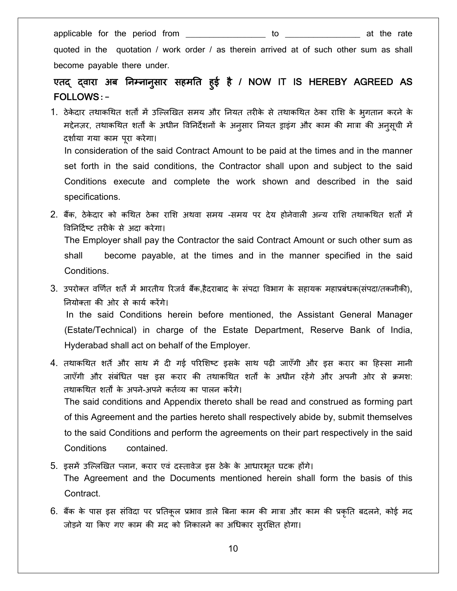applicable for the period from \_\_\_\_\_\_\_\_\_\_\_\_\_\_\_\_\_ to \_\_\_\_\_\_\_\_\_\_\_\_\_\_\_\_ at the rate

quoted in the quotation / work order / as therein arrived at of such other sum as shall become payable there under.

#### एतद् द्वारा अब निम्नानुसार सहमति हुई है / NOW IT IS HEREBY AGREED AS ु FOLLOWS**:-**

- 1. ठेकेदार तथाकथित शर्तों में उल्लिखित समय और नियत तरीके से तथाकथित ठेका राशि के भुगतान करने के मद्देनज़र, तथाकथित शर्तों के अधीन विनिर्देशनों के अनुसार नियत ड्राइंग और काम की मात्रा की अनुसूची में दशार्या गया काम पू रा करेगा। In consideration of the said Contract Amount to be paid at the times and in the manner set forth in the said conditions, the Contractor shall upon and subject to the said Conditions execute and complete the work shown and described in the said specifications.
- 2. बैंक, ठेकेदार को कथित ठेका राशि अथवा समय -समय पर देय होनेवाली अन्य राशि तथाकथित शर्तों में �व�न�दर्ष् ट तर�के से अदा करेगा। The Employer shall pay the Contractor the said Contract Amount or such other sum as shall become payable, at the times and in the manner specified in the said Conditions.
- 3. उपरोक्त वर्णित शर्तें में भारतीय रिजर्व बैंक,हैदराबाद के संपदा विभाग के सहायक महाप्रबंधक(संपदा/तकनीकी), �नयोक्ता क� ओर से कायर् कर�गे। In the said Conditions herein before mentioned, the Assistant General Manager (Estate/Technical) in charge of the Estate Department, Reserve Bank of India, Hyderabad shall act on behalf of the Employer.
- 4. तथाकथित शर्ते और साथ में दी गई परिशिष्ट इसके साथ पढ़ी जाएँगी और इस करार का हिस्सा मानी जाएँगी और संबंधित पक्ष इस करार की तथाकथित शर्तों के अधीन रहेंगे और अपनी ओर से क्रमश: तथाकथित शर्तों के अपने-अपने कर्तव्य का पालन करेंगे। The said conditions and Appendix thereto shall be read and construed as forming part of this Agreement and the parties hereto shall respectively abide by, submit themselves

to the said Conditions and perform the agreements on their part respectively in the said Conditions contained.

- 5. इसमें उल्लिखित प्लान, करार एवं दस्तावेज इस ठेके के आधारभूत घटक होंगे। The Agreement and the Documents mentioned herein shall form the basis of this Contract.
- 6. बैंक के पास इस संविदा पर प्रतिकूल प्रभाव डाले बिना काम की मात्रा और काम की प्रकृति बदलने, कोई मद जोड़ने या किए गए काम की मद को निकालने का अधिकार सुरक्षित होगा।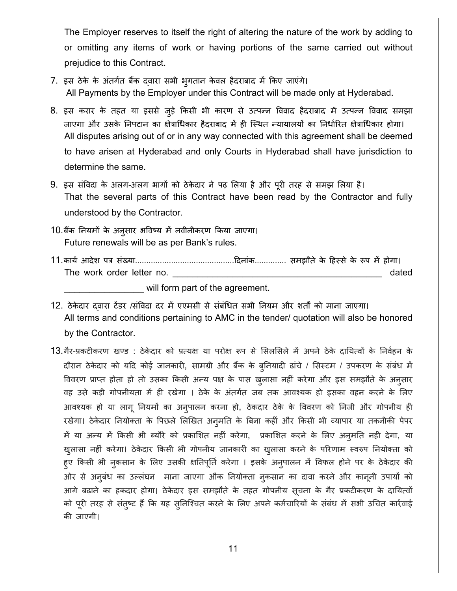The Employer reserves to itself the right of altering the nature of the work by adding to or omitting any items of work or having portions of the same carried out without prejudice to this Contract.

- 7. इस ठेके के अंतर्गत बैंक दवारा सभी भ्गतान केवल हैदराबाद में किए जाएंगे। All Payments by the Employer under this Contract will be made only at Hyderabad.
- 8. इस करार के तहत या इससे जुड़े किसी भी कारण से उत्पन्न विवाद हैदराबाद में उत्पन्न विवाद समझा जाएगा और उसके निपटान का क्षेत्राधिकार हैदराबाद में ही स्थित न्यायालयों का निर्धारित क्षेत्राधिकार होगा। All disputes arising out of or in any way connected with this agreement shall be deemed to have arisen at Hyderabad and only Courts in Hyderabad shall have jurisdiction to determine the same.
- 9. इस संविदा के अलग-अलग भागों को ठेकेदार ने पढ़ लिया है और पूरी तरह से समझ लिया है। That the several parts of this Contract have been read by the Contractor and fully understood by the Contractor.
- 10.बैंक नियमों के अनुसार भविष्य में नवीनीकरण किया जाएगा। Future renewals will be as per Bank's rules.
- The work order letter no. dated

will form part of the agreement.

12. ठेकेदार दवारा टेंडर /संविदा दर में एएमसी से संबंधित सभी नियम और शर्तों को माना जाएगा। All terms and conditions pertaining to AMC in the tender/ quotation will also be honored by the Contractor.

13.गैर-प्रकटीकरण खण्ड : ठेकेदार को प्रत्यक्ष या परोक्ष रूप से सिलसिले में अपने ठेके दायित्वों के निर्वहन के दौरान ठेकेदार को यदि कोई जानकारी, सामग्री और बैंक के ब्नियादी ढांचे / सिस्टम / उपकरण के संबंध में विवरण प्राप्त होता हो तो उसका किसी अन्य पक्ष के पास ख़ुलासा नहीं करेगा और इस समझौते के अनुसार वह उसे कड़ी गोपनीयता में ही रखेगा । ठेके के अंतर्गत जब तक आवश्यक हो इसका वहन करने के लिए आवश्यक हो या लागू नियमों का अन्पालन करना हो, ठेकदार ठेके के विवरण को निजी और गोपनीय ही रखेगा। ठेकेदार नियोक्ता के पिछले लिखित अनुमति के बिना कहीं और किसी भी व्यापार या तकनीकी पेपर में या अन्य में किसी भी ब्यौरे को प्रकाशित नहीं करेगा, प्रकाशित करने के लिए अनूमति नही देगा, या ख़ुलासा नहीं करेगा। ठेकेदार किसी भी गोपनीय जानकारी का ख़ुलासा करने के परिणाम स्वरुप नियोक्ता को ह्ए किसी भी नुकसान के लिए उसकी क्षतिपूर्ति करेगा । इसके अनुपालन में विफल होने पर के ठेकेदार की ओर से अनूबंध का उल्लंघन माना जाएगा औक नियोक्ता नुकसान का दावा करने और कानूनी उपायों को आगे बढ़ाने का हकदार होगा। ठेकेदार इस समझौते के तहत गोपनीय सूचना के गैर प्रकटीकरण के दायित्वों को पूरी तरह से संतुष्ट हैं कि यह सुनिश्चित करने के लिए अपने कर्मचारियों के संबंध में सभी उचित कार्रवाई की जाएगी।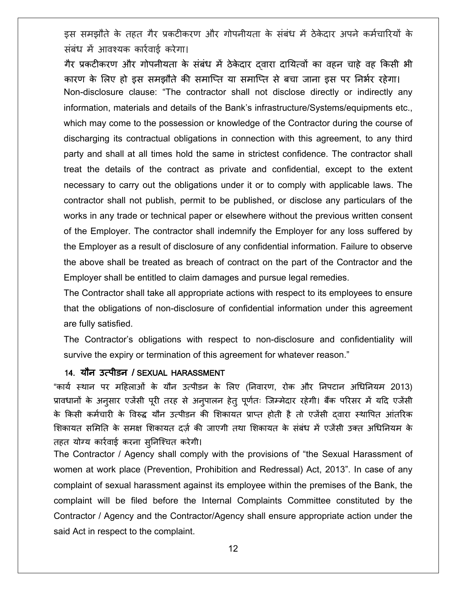इस समझौते के तहत गैर प्रकटीकरण और गोपनीयता के संबंध में ठेकेदार अपने कर्मचारियों के संबंध में आवश्यक कार्रवाई करेगा।

गैर प्रकटीकरण और गोपनीयता के संबंध में ठेकेदार दवारा दायित्वों का वहन चाहे वह किसी भी कारण के लिए हो इस समझौते की समाप्ति या समाप्ति से बचा जाना इस पर निर्भर रहेगा। Non-disclosure clause: "The contractor shall not disclose directly or indirectly any information, materials and details of the Bank's infrastructure/Systems/equipments etc., which may come to the possession or knowledge of the Contractor during the course of discharging its contractual obligations in connection with this agreement, to any third party and shall at all times hold the same in strictest confidence. The contractor shall treat the details of the contract as private and confidential, except to the extent necessary to carry out the obligations under it or to comply with applicable laws. The contractor shall not publish, permit to be published, or disclose any particulars of the works in any trade or technical paper or elsewhere without the previous written consent of the Employer. The contractor shall indemnify the Employer for any loss suffered by the Employer as a result of disclosure of any confidential information. Failure to observe the above shall be treated as breach of contract on the part of the Contractor and the Employer shall be entitled to claim damages and pursue legal remedies.

The Contractor shall take all appropriate actions with respect to its employees to ensure that the obligations of non-disclosure of confidential information under this agreement are fully satisfied.

The Contractor's obligations with respect to non-disclosure and confidentiality will survive the expiry or termination of this agreement for whatever reason."

#### 14. यौन उत्पीडन / SEXUAL HARASSMENT

"कायर् स्थान पर म�हलाओं के यौन उत्पीडन के �लए (�नवारण, रोक और �नपटान अ�ध�नयम 2013) प्रावधानों के अनुसार एजेंसी पूरी तरह से अनुपालन हेतु पूर्णतः जिम्मेदार रहेगी। बैंक परिसर में यदि एजेंसी के किसी कर्मचारी के विरुद्ध यौन उत्पीडन की शिकायत प्राप्त होती है तो एजेंसी दवारा स्थापित आंतरिक शिकायत समिति के समक्ष शिकायत दर्ज की जाएगी तथा शिकायत के संबंध में एजेंसी उक्त अधिनियम के तहत योग्य कारर्वाई करना सु�निश्चत करेगी।

The Contractor / Agency shall comply with the provisions of "the Sexual Harassment of women at work place (Prevention, Prohibition and Redressal) Act, 2013". In case of any complaint of sexual harassment against its employee within the premises of the Bank, the complaint will be filed before the Internal Complaints Committee constituted by the Contractor / Agency and the Contractor/Agency shall ensure appropriate action under the said Act in respect to the complaint.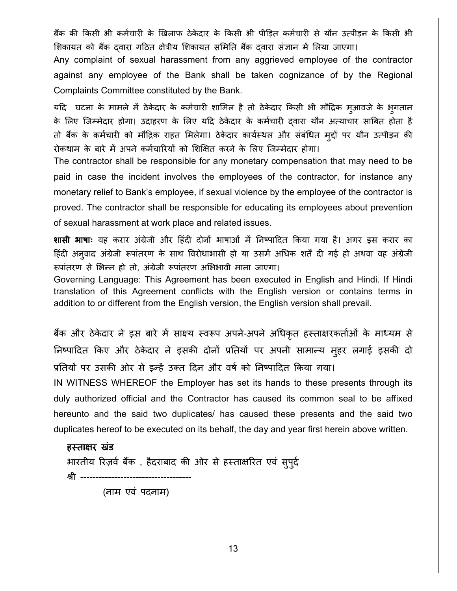बैंक की किसी भी कर्मचारी के खिलाफ ठेकेदार के किसी भी पीडित कर्मचारी से यौन उत्पीडन के किसी भी शिकायत को बैंक दवारा गठित क्षेत्रीय शिकायत समिति बैंक दवारा संज्ञान में लिया जाएगा।

Any complaint of sexual harassment from any aggrieved employee of the contractor against any employee of the Bank shall be taken cognizance of by the Regional Complaints Committee constituted by the Bank.

यदि घटना के मामले में ठेकेदार के कर्मचारी शामिल है तो ठेकेदार किसी भी मौद्रिक म्आवजे के भूगतान के लिए जिम्मेदार होगा। उदाहरण के लिए यदि ठेकेदार के कर्मचारी दवारा यौन अत्याचार साबित होता है तो बैंक के कर्मचारी को मौद्रिक राहत मिलेगा। ठेकेदार कार्यस्थल और संबंधित मुद्दों पर यौन उत्पीड़न की रोकथाम के बारे में अपने कर्मचारियों को शिक्षित करने के लिए जिम्मेदार होगा।

The contractor shall be responsible for any monetary compensation that may need to be paid in case the incident involves the employees of the contractor, for instance any monetary relief to Bank's employee, if sexual violence by the employee of the contractor is proved. The contractor shall be responsible for educating its employees about prevention of sexual harassment at work place and related issues.

**शासी भाषाः** यह करार अंग्रेजी और हिंदी दोनों भाषाओं में निष्पादित किया गया है। अगर इस करार का हिंदी अनुवाद अंग्रेजी रूपांतरण के साथ विरोधाभासी हो या उसमें अधिक शर्तें दी गई हो अथवा वह अंग्रेजी रूपांतरण से भिन्न हो तो, अंग्रेजी रूपांतरण अभिभावी माना जाएगा।

Governing Language: This Agreement has been executed in English and Hindi. If Hindi translation of this Agreement conflicts with the English version or contains terms in addition to or different from the English version, the English version shall prevail.

बैंक और ठेकेदार ने इस बारे में साक्ष्य स्वरूप अपने-अपने अधिकृत हस्ताक्षरकर्ताओं के माध्यम से निष्पादित किए और ठेकेदार ने इसकी दोनों प्रतियों पर अपनी सामान्य मुहर लगाई इसकी दो प्रतियों पर उसकी ओर से इन्हें उक्त दिन और वर्ष को निष्पादित किया गया।

IN WITNESS WHEREOF the Employer has set its hands to these presents through its duly authorized official and the Contractor has caused its common seal to be affixed hereunto and the said two duplicates/ has caused these presents and the said two duplicates hereof to be executed on its behalf, the day and year first herein above written.

### हस्ताक्षर खंड

भारतीय रिज़र्व बैंक, हैदराबाद की ओर से हस्ताक्षरित एवं सुपूर्द

श्री -------(नाम एवं पदनाम)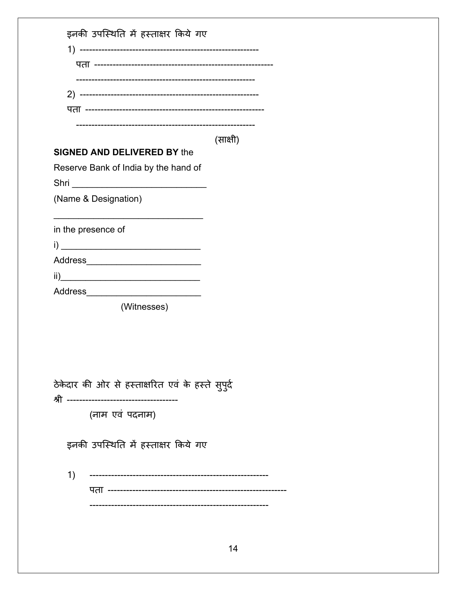| इनकी उपस्थिति में हस्ताक्षर किये गए               |          |
|---------------------------------------------------|----------|
|                                                   |          |
|                                                   |          |
|                                                   |          |
|                                                   |          |
|                                                   |          |
|                                                   |          |
| <b>SIGNED AND DELIVERED BY the</b>                | (साक्षी) |
|                                                   |          |
| Reserve Bank of India by the hand of              |          |
|                                                   |          |
| (Name & Designation)                              |          |
|                                                   |          |
| in the presence of                                |          |
|                                                   |          |
|                                                   |          |
| ii) $\qquad \qquad$                               |          |
| Address______                                     |          |
| (Witnesses)                                       |          |
|                                                   |          |
|                                                   |          |
|                                                   |          |
|                                                   |          |
| ठेकेदार की ओर से हस्ताक्षरित एवं के हस्ते सुपुर्द |          |
| (नाम एवं पदनाम)                                   |          |
|                                                   |          |
| इनकी उपस्थिति में हस्ताक्षर किये गए               |          |
| 1)<br>------------------------------------        |          |
|                                                   |          |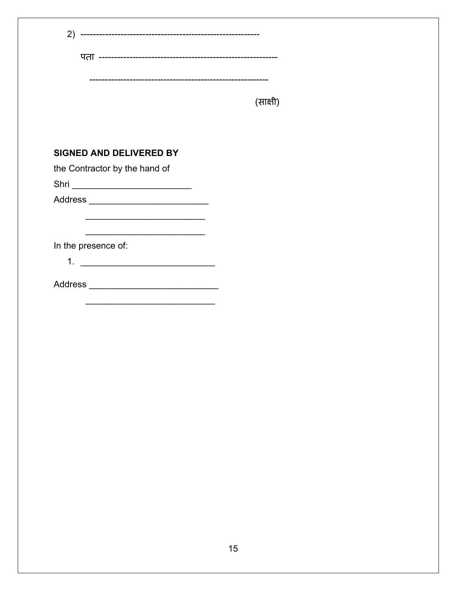| (2)                                                              |          |
|------------------------------------------------------------------|----------|
|                                                                  |          |
|                                                                  | (साक्षी) |
| <b>SIGNED AND DELIVERED BY</b>                                   |          |
| the Contractor by the hand of                                    |          |
| Shri _____________________________                               |          |
| Address __________________________________                       |          |
|                                                                  |          |
| <u> 1950 - Johann John Stone, martin de Britannich (b. 1950)</u> |          |
| In the presence of:                                              |          |
|                                                                  |          |
|                                                                  |          |
|                                                                  |          |
|                                                                  |          |
|                                                                  |          |
|                                                                  |          |
|                                                                  |          |
|                                                                  |          |
|                                                                  |          |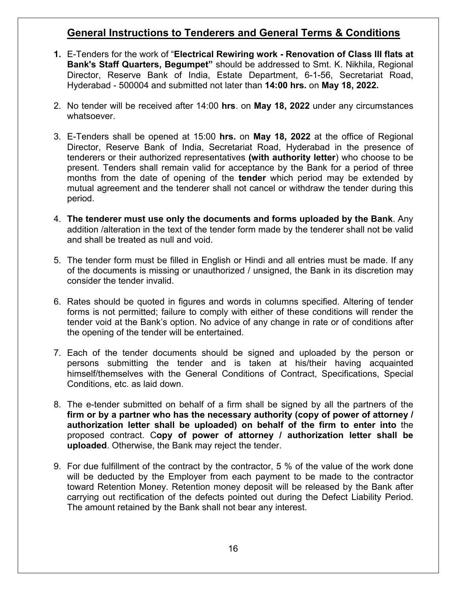## **General Instructions to Tenderers and General Terms & Conditions**

- **1.** E-Tenders for the work of "**Electrical Rewiring work Renovation of Class III flats at Bank's Staff Quarters, Begumpet"** should be addressed to Smt. K. Nikhila, Regional Director, Reserve Bank of India, Estate Department, 6-1-56, Secretariat Road, Hyderabad - 500004 and submitted not later than **14:00 hrs.** on **May 18, 2022.**
- 2. No tender will be received after 14:00 **hrs**. on **May 18, 2022** under any circumstances whatsoever.
- 3. E-Tenders shall be opened at 15:00 **hrs.** on **May 18, 2022** at the office of Regional Director, Reserve Bank of India, Secretariat Road, Hyderabad in the presence of tenderers or their authorized representatives **(with authority letter**) who choose to be present. Tenders shall remain valid for acceptance by the Bank for a period of three months from the date of opening of the **tender** which period may be extended by mutual agreement and the tenderer shall not cancel or withdraw the tender during this period.
- 4. **The tenderer must use only the documents and forms uploaded by the Bank**. Any addition /alteration in the text of the tender form made by the tenderer shall not be valid and shall be treated as null and void.
- 5. The tender form must be filled in English or Hindi and all entries must be made. If any of the documents is missing or unauthorized / unsigned, the Bank in its discretion may consider the tender invalid.
- 6. Rates should be quoted in figures and words in columns specified. Altering of tender forms is not permitted; failure to comply with either of these conditions will render the tender void at the Bank's option. No advice of any change in rate or of conditions after the opening of the tender will be entertained.
- 7. Each of the tender documents should be signed and uploaded by the person or persons submitting the tender and is taken at his/their having acquainted himself/themselves with the General Conditions of Contract, Specifications, Special Conditions, etc. as laid down.
- 8. The e-tender submitted on behalf of a firm shall be signed by all the partners of the **firm or by a partner who has the necessary authority (copy of power of attorney / authorization letter shall be uploaded) on behalf of the firm to enter into** the proposed contract. C**opy of power of attorney / authorization letter shall be uploaded**. Otherwise, the Bank may reject the tender.
- 9. For due fulfillment of the contract by the contractor, 5 % of the value of the work done will be deducted by the Employer from each payment to be made to the contractor toward Retention Money. Retention money deposit will be released by the Bank after carrying out rectification of the defects pointed out during the Defect Liability Period. The amount retained by the Bank shall not bear any interest.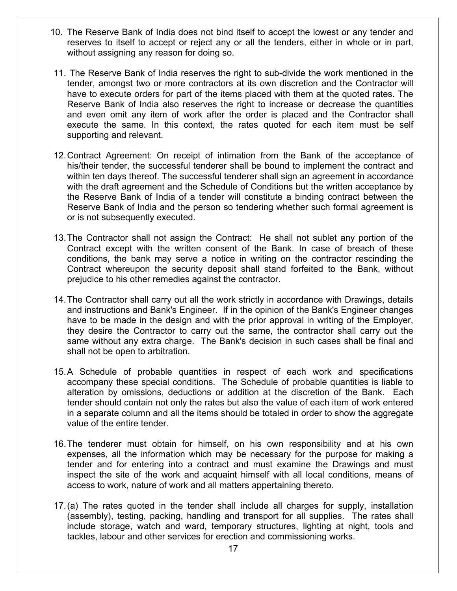- 10. The Reserve Bank of India does not bind itself to accept the lowest or any tender and reserves to itself to accept or reject any or all the tenders, either in whole or in part, without assigning any reason for doing so.
- 11. The Reserve Bank of India reserves the right to sub-divide the work mentioned in the tender, amongst two or more contractors at its own discretion and the Contractor will have to execute orders for part of the items placed with them at the quoted rates. The Reserve Bank of India also reserves the right to increase or decrease the quantities and even omit any item of work after the order is placed and the Contractor shall execute the same. In this context, the rates quoted for each item must be self supporting and relevant.
- 12.Contract Agreement: On receipt of intimation from the Bank of the acceptance of his/their tender, the successful tenderer shall be bound to implement the contract and within ten days thereof. The successful tenderer shall sign an agreement in accordance with the draft agreement and the Schedule of Conditions but the written acceptance by the Reserve Bank of India of a tender will constitute a binding contract between the Reserve Bank of India and the person so tendering whether such formal agreement is or is not subsequently executed.
- 13.The Contractor shall not assign the Contract: He shall not sublet any portion of the Contract except with the written consent of the Bank. In case of breach of these conditions, the bank may serve a notice in writing on the contractor rescinding the Contract whereupon the security deposit shall stand forfeited to the Bank, without prejudice to his other remedies against the contractor.
- 14.The Contractor shall carry out all the work strictly in accordance with Drawings, details and instructions and Bank's Engineer. If in the opinion of the Bank's Engineer changes have to be made in the design and with the prior approval in writing of the Employer, they desire the Contractor to carry out the same, the contractor shall carry out the same without any extra charge. The Bank's decision in such cases shall be final and shall not be open to arbitration.
- 15.A Schedule of probable quantities in respect of each work and specifications accompany these special conditions. The Schedule of probable quantities is liable to alteration by omissions, deductions or addition at the discretion of the Bank. Each tender should contain not only the rates but also the value of each item of work entered in a separate column and all the items should be totaled in order to show the aggregate value of the entire tender.
- 16.The tenderer must obtain for himself, on his own responsibility and at his own expenses, all the information which may be necessary for the purpose for making a tender and for entering into a contract and must examine the Drawings and must inspect the site of the work and acquaint himself with all local conditions, means of access to work, nature of work and all matters appertaining thereto.
- 17.(a) The rates quoted in the tender shall include all charges for supply, installation (assembly), testing, packing, handling and transport for all supplies. The rates shall include storage, watch and ward, temporary structures, lighting at night, tools and tackles, labour and other services for erection and commissioning works.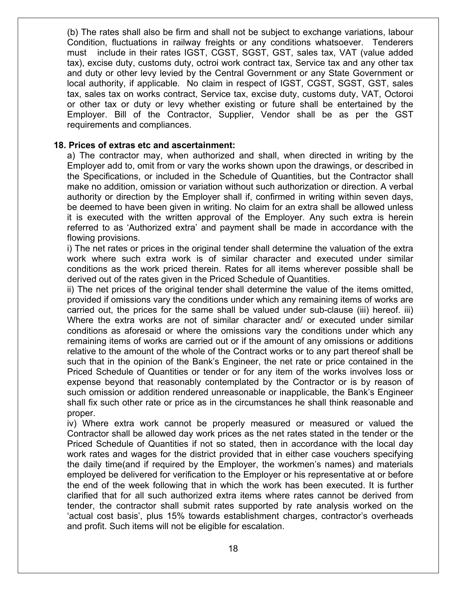(b) The rates shall also be firm and shall not be subject to exchange variations, labour Condition, fluctuations in railway freights or any conditions whatsoever. Tenderers must include in their rates IGST, CGST, SGST, GST, sales tax, VAT (value added tax), excise duty, customs duty, octroi work contract tax, Service tax and any other tax and duty or other levy levied by the Central Government or any State Government or local authority, if applicable. No claim in respect of IGST, CGST, SGST, GST, sales tax, sales tax on works contract, Service tax, excise duty, customs duty, VAT, Octoroi or other tax or duty or levy whether existing or future shall be entertained by the Employer. Bill of the Contractor, Supplier, Vendor shall be as per the GST requirements and compliances.

#### **18. Prices of extras etc and ascertainment:**

a) The contractor may, when authorized and shall, when directed in writing by the Employer add to, omit from or vary the works shown upon the drawings, or described in the Specifications, or included in the Schedule of Quantities, but the Contractor shall make no addition, omission or variation without such authorization or direction. A verbal authority or direction by the Employer shall if, confirmed in writing within seven days, be deemed to have been given in writing. No claim for an extra shall be allowed unless it is executed with the written approval of the Employer. Any such extra is herein referred to as 'Authorized extra' and payment shall be made in accordance with the flowing provisions.

i) The net rates or prices in the original tender shall determine the valuation of the extra work where such extra work is of similar character and executed under similar conditions as the work priced therein. Rates for all items wherever possible shall be derived out of the rates given in the Priced Schedule of Quantities.

ii) The net prices of the original tender shall determine the value of the items omitted, provided if omissions vary the conditions under which any remaining items of works are carried out, the prices for the same shall be valued under sub-clause (iii) hereof. iii) Where the extra works are not of similar character and/ or executed under similar conditions as aforesaid or where the omissions vary the conditions under which any remaining items of works are carried out or if the amount of any omissions or additions relative to the amount of the whole of the Contract works or to any part thereof shall be such that in the opinion of the Bank's Engineer, the net rate or price contained in the Priced Schedule of Quantities or tender or for any item of the works involves loss or expense beyond that reasonably contemplated by the Contractor or is by reason of such omission or addition rendered unreasonable or inapplicable, the Bank's Engineer shall fix such other rate or price as in the circumstances he shall think reasonable and proper.

iv) Where extra work cannot be properly measured or measured or valued the Contractor shall be allowed day work prices as the net rates stated in the tender or the Priced Schedule of Quantities if not so stated, then in accordance with the local day work rates and wages for the district provided that in either case vouchers specifying the daily time(and if required by the Employer, the workmen's names) and materials employed be delivered for verification to the Employer or his representative at or before the end of the week following that in which the work has been executed. It is further clarified that for all such authorized extra items where rates cannot be derived from tender, the contractor shall submit rates supported by rate analysis worked on the 'actual cost basis', plus 15% towards establishment charges, contractor's overheads and profit. Such items will not be eligible for escalation.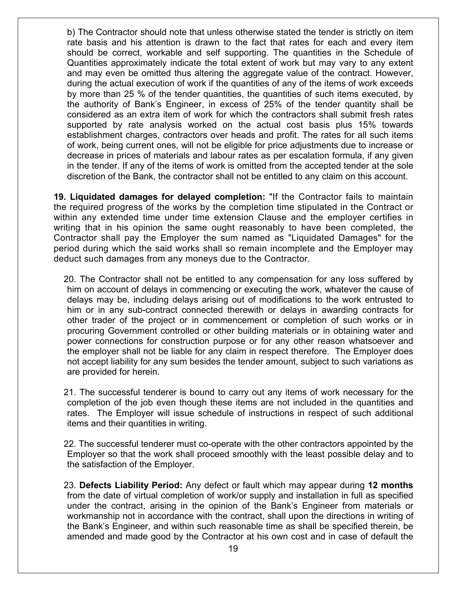b) The Contractor should note that unless otherwise stated the tender is strictly on item rate basis and his attention is drawn to the fact that rates for each and every item should be correct, workable and self supporting. The quantities in the Schedule of Quantities approximately indicate the total extent of work but may vary to any extent and may even be omitted thus altering the aggregate value of the contract. However, during the actual execution of work if the quantities of any of the items of work exceeds by more than 25 % of the tender quantities, the quantities of such items executed, by the authority of Bank's Engineer, in excess of 25% of the tender quantity shall be considered as an extra item of work for which the contractors shall submit fresh rates supported by rate analysis worked on the actual cost basis plus 15% towards establishment charges, contractors over heads and profit. The rates for all such items of work, being current ones, will not be eligible for price adjustments due to increase or decrease in prices of materials and labour rates as per escalation formula, if any given in the tender. If any of the items of work is omitted from the accepted tender at the sole discretion of the Bank, the contractor shall not be entitled to any claim on this account.

**19. Liquidated damages for delayed completion:** "If the Contractor fails to maintain the required progress of the works by the completion time stipulated in the Contract or within any extended time under time extension Clause and the employer certifies in writing that in his opinion the same ought reasonably to have been completed, the Contractor shall pay the Employer the sum named as "Liquidated Damages" for the period during which the said works shall so remain incomplete and the Employer may deduct such damages from any moneys due to the Contractor.

20. The Contractor shall not be entitled to any compensation for any loss suffered by him on account of delays in commencing or executing the work, whatever the cause of delays may be, including delays arising out of modifications to the work entrusted to him or in any sub-contract connected therewith or delays in awarding contracts for other trader of the project or in commencement or completion of such works or in procuring Government controlled or other building materials or in obtaining water and power connections for construction purpose or for any other reason whatsoever and the employer shall not be liable for any claim in respect therefore. The Employer does not accept liability for any sum besides the tender amount, subject to such variations as are provided for herein.

21. The successful tenderer is bound to carry out any items of work necessary for the completion of the job even though these items are not included in the quantities and rates. The Employer will issue schedule of instructions in respect of such additional items and their quantities in writing.

22. The successful tenderer must co-operate with the other contractors appointed by the Employer so that the work shall proceed smoothly with the least possible delay and to the satisfaction of the Employer.

23. **Defects Liability Period:** Any defect or fault which may appear during **12 months** from the date of virtual completion of work/or supply and installation in full as specified under the contract, arising in the opinion of the Bank's Engineer from materials or workmanship not in accordance with the contract, shall upon the directions in writing of the Bank's Engineer, and within such reasonable time as shall be specified therein, be amended and made good by the Contractor at his own cost and in case of default the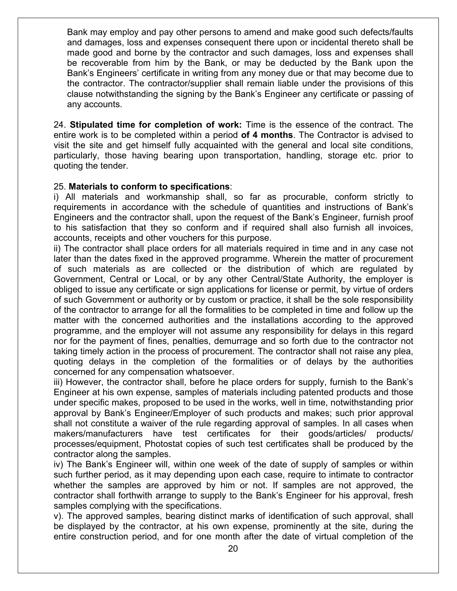Bank may employ and pay other persons to amend and make good such defects/faults and damages, loss and expenses consequent there upon or incidental thereto shall be made good and borne by the contractor and such damages, loss and expenses shall be recoverable from him by the Bank, or may be deducted by the Bank upon the Bank's Engineers' certificate in writing from any money due or that may become due to the contractor. The contractor/supplier shall remain liable under the provisions of this clause notwithstanding the signing by the Bank's Engineer any certificate or passing of any accounts.

24. **Stipulated time for completion of work:** Time is the essence of the contract. The entire work is to be completed within a period **of 4 months**. The Contractor is advised to visit the site and get himself fully acquainted with the general and local site conditions, particularly, those having bearing upon transportation, handling, storage etc. prior to quoting the tender.

### 25. **Materials to conform to specifications**:

i) All materials and workmanship shall, so far as procurable, conform strictly to requirements in accordance with the schedule of quantities and instructions of Bank's Engineers and the contractor shall, upon the request of the Bank's Engineer, furnish proof to his satisfaction that they so conform and if required shall also furnish all invoices, accounts, receipts and other vouchers for this purpose.

ii) The contractor shall place orders for all materials required in time and in any case not later than the dates fixed in the approved programme. Wherein the matter of procurement of such materials as are collected or the distribution of which are regulated by Government, Central or Local, or by any other Central/State Authority, the employer is obliged to issue any certificate or sign applications for license or permit, by virtue of orders of such Government or authority or by custom or practice, it shall be the sole responsibility of the contractor to arrange for all the formalities to be completed in time and follow up the matter with the concerned authorities and the installations according to the approved programme, and the employer will not assume any responsibility for delays in this regard nor for the payment of fines, penalties, demurrage and so forth due to the contractor not taking timely action in the process of procurement. The contractor shall not raise any plea, quoting delays in the completion of the formalities or of delays by the authorities concerned for any compensation whatsoever.

iii) However, the contractor shall, before he place orders for supply, furnish to the Bank's Engineer at his own expense, samples of materials including patented products and those under specific makes, proposed to be used in the works, well in time, notwithstanding prior approval by Bank's Engineer/Employer of such products and makes; such prior approval shall not constitute a waiver of the rule regarding approval of samples. In all cases when makers/manufacturers have test certificates for their goods/articles/ products/ processes/equipment, Photostat copies of such test certificates shall be produced by the contractor along the samples.

iv) The Bank's Engineer will, within one week of the date of supply of samples or within such further period, as it may depending upon each case, require to intimate to contractor whether the samples are approved by him or not. If samples are not approved, the contractor shall forthwith arrange to supply to the Bank's Engineer for his approval, fresh samples complying with the specifications.

v). The approved samples, bearing distinct marks of identification of such approval, shall be displayed by the contractor, at his own expense, prominently at the site, during the entire construction period, and for one month after the date of virtual completion of the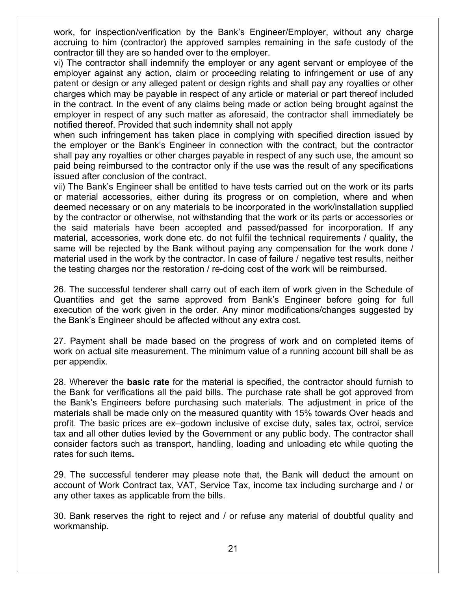work, for inspection/verification by the Bank's Engineer/Employer, without any charge accruing to him (contractor) the approved samples remaining in the safe custody of the contractor till they are so handed over to the employer.

vi) The contractor shall indemnify the employer or any agent servant or employee of the employer against any action, claim or proceeding relating to infringement or use of any patent or design or any alleged patent or design rights and shall pay any royalties or other charges which may be payable in respect of any article or material or part thereof included in the contract. In the event of any claims being made or action being brought against the employer in respect of any such matter as aforesaid, the contractor shall immediately be notified thereof. Provided that such indemnity shall not apply

when such infringement has taken place in complying with specified direction issued by the employer or the Bank's Engineer in connection with the contract, but the contractor shall pay any royalties or other charges payable in respect of any such use, the amount so paid being reimbursed to the contractor only if the use was the result of any specifications issued after conclusion of the contract.

vii) The Bank's Engineer shall be entitled to have tests carried out on the work or its parts or material accessories, either during its progress or on completion, where and when deemed necessary or on any materials to be incorporated in the work/installation supplied by the contractor or otherwise, not withstanding that the work or its parts or accessories or the said materials have been accepted and passed/passed for incorporation. If any material, accessories, work done etc. do not fulfil the technical requirements / quality, the same will be rejected by the Bank without paying any compensation for the work done / material used in the work by the contractor. In case of failure / negative test results, neither the testing charges nor the restoration / re-doing cost of the work will be reimbursed.

26. The successful tenderer shall carry out of each item of work given in the Schedule of Quantities and get the same approved from Bank's Engineer before going for full execution of the work given in the order. Any minor modifications/changes suggested by the Bank's Engineer should be affected without any extra cost.

27. Payment shall be made based on the progress of work and on completed items of work on actual site measurement. The minimum value of a running account bill shall be as per appendix.

28. Wherever the **basic rate** for the material is specified, the contractor should furnish to the Bank for verifications all the paid bills. The purchase rate shall be got approved from the Bank's Engineers before purchasing such materials. The adjustment in price of the materials shall be made only on the measured quantity with 15% towards Over heads and profit. The basic prices are ex–godown inclusive of excise duty, sales tax, octroi, service tax and all other duties levied by the Government or any public body. The contractor shall consider factors such as transport, handling, loading and unloading etc while quoting the rates for such items**.**

29. The successful tenderer may please note that, the Bank will deduct the amount on account of Work Contract tax, VAT, Service Tax, income tax including surcharge and / or any other taxes as applicable from the bills.

30. Bank reserves the right to reject and / or refuse any material of doubtful quality and workmanship.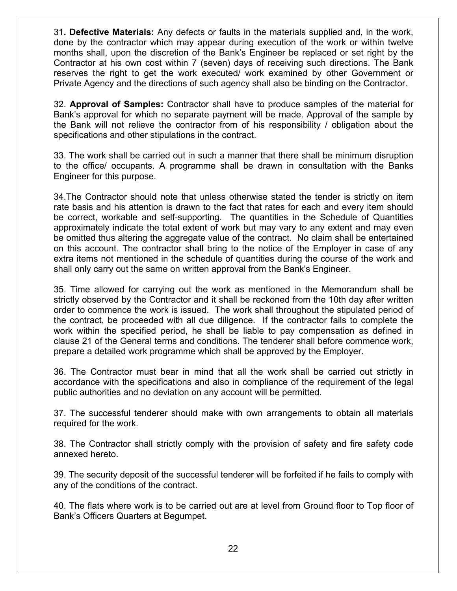31**. Defective Materials:** Any defects or faults in the materials supplied and, in the work, done by the contractor which may appear during execution of the work or within twelve months shall, upon the discretion of the Bank's Engineer be replaced or set right by the Contractor at his own cost within 7 (seven) days of receiving such directions. The Bank reserves the right to get the work executed/ work examined by other Government or Private Agency and the directions of such agency shall also be binding on the Contractor.

32. **Approval of Samples:** Contractor shall have to produce samples of the material for Bank's approval for which no separate payment will be made. Approval of the sample by the Bank will not relieve the contractor from of his responsibility / obligation about the specifications and other stipulations in the contract.

33. The work shall be carried out in such a manner that there shall be minimum disruption to the office/ occupants. A programme shall be drawn in consultation with the Banks Engineer for this purpose.

34.The Contractor should note that unless otherwise stated the tender is strictly on item rate basis and his attention is drawn to the fact that rates for each and every item should be correct, workable and self-supporting. The quantities in the Schedule of Quantities approximately indicate the total extent of work but may vary to any extent and may even be omitted thus altering the aggregate value of the contract. No claim shall be entertained on this account. The contractor shall bring to the notice of the Employer in case of any extra items not mentioned in the schedule of quantities during the course of the work and shall only carry out the same on written approval from the Bank's Engineer.

35. Time allowed for carrying out the work as mentioned in the Memorandum shall be strictly observed by the Contractor and it shall be reckoned from the 10th day after written order to commence the work is issued. The work shall throughout the stipulated period of the contract, be proceeded with all due diligence. If the contractor fails to complete the work within the specified period, he shall be liable to pay compensation as defined in clause 21 of the General terms and conditions. The tenderer shall before commence work, prepare a detailed work programme which shall be approved by the Employer.

36. The Contractor must bear in mind that all the work shall be carried out strictly in accordance with the specifications and also in compliance of the requirement of the legal public authorities and no deviation on any account will be permitted.

37. The successful tenderer should make with own arrangements to obtain all materials required for the work.

38. The Contractor shall strictly comply with the provision of safety and fire safety code annexed hereto.

39. The security deposit of the successful tenderer will be forfeited if he fails to comply with any of the conditions of the contract.

40. The flats where work is to be carried out are at level from Ground floor to Top floor of Bank's Officers Quarters at Begumpet.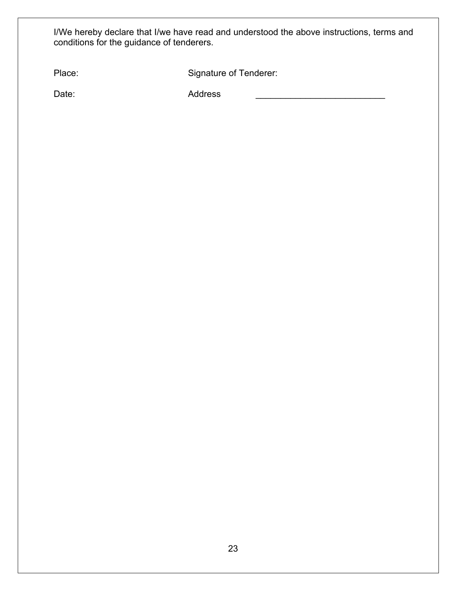I/We hereby declare that I/we have read and understood the above instructions, terms and conditions for the guidance of tenderers.

| Place: | Signature of Tenderer: |
|--------|------------------------|
|        |                        |

Date: Address \_\_\_\_\_\_\_\_\_\_\_\_\_\_\_\_\_\_\_\_\_\_\_\_\_\_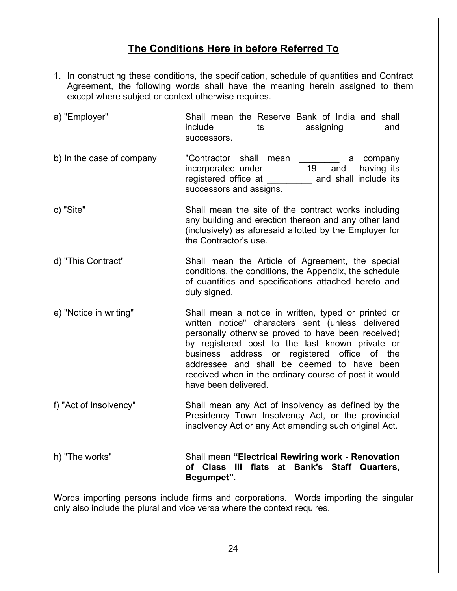# **The Conditions Here in before Referred To**

- 1. In constructing these conditions, the specification, schedule of quantities and Contract Agreement, the following words shall have the meaning herein assigned to them except where subject or context otherwise requires.
- a) "Employer" Shall mean the Reserve Bank of India and shall include its assigning and successors. b) In the case of company contractor shall mean a company incorporated under \_\_\_\_\_\_\_ 19\_\_ and having its registered office at \_\_\_\_\_\_\_\_\_ and shall include its successors and assigns. c) "Site" Shall mean the site of the contract works including any building and erection thereon and any other land (inclusively) as aforesaid allotted by the Employer for the Contractor's use. d) "This Contract" Shall mean the Article of Agreement, the special conditions, the conditions, the Appendix, the schedule of quantities and specifications attached hereto and duly signed. e) "Notice in writing" Shall mean a notice in written, typed or printed or written notice" characters sent (unless delivered personally otherwise proved to have been received) by registered post to the last known private or business address or registered office of the addressee and shall be deemed to have been received when in the ordinary course of post it would have been delivered.
- f) "Act of Insolvency" Shall mean any Act of insolvency as defined by the Presidency Town Insolvency Act, or the provincial insolvency Act or any Act amending such original Act.

h) "The works" Shall mean **"Electrical Rewiring work - Renovation of Class III flats at Bank's Staff Quarters, Begumpet"**.

Words importing persons include firms and corporations. Words importing the singular only also include the plural and vice versa where the context requires.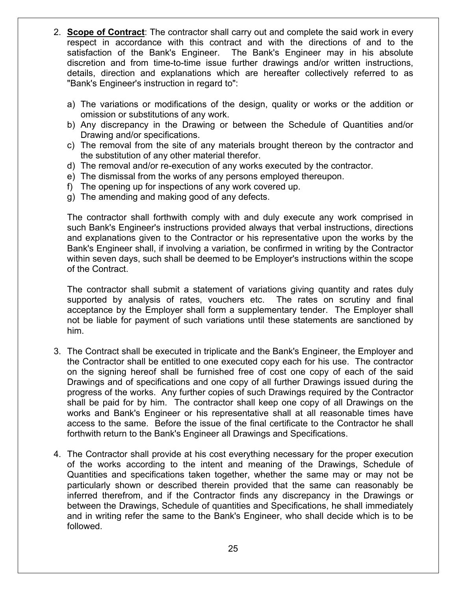- 2. **Scope of Contract**: The contractor shall carry out and complete the said work in every respect in accordance with this contract and with the directions of and to the satisfaction of the Bank's Engineer. The Bank's Engineer may in his absolute discretion and from time-to-time issue further drawings and/or written instructions, details, direction and explanations which are hereafter collectively referred to as "Bank's Engineer's instruction in regard to":
	- a) The variations or modifications of the design, quality or works or the addition or omission or substitutions of any work.
	- b) Any discrepancy in the Drawing or between the Schedule of Quantities and/or Drawing and/or specifications.
	- c) The removal from the site of any materials brought thereon by the contractor and the substitution of any other material therefor.
	- d) The removal and/or re-execution of any works executed by the contractor.
	- e) The dismissal from the works of any persons employed thereupon.
	- f) The opening up for inspections of any work covered up.
	- g) The amending and making good of any defects.

The contractor shall forthwith comply with and duly execute any work comprised in such Bank's Engineer's instructions provided always that verbal instructions, directions and explanations given to the Contractor or his representative upon the works by the Bank's Engineer shall, if involving a variation, be confirmed in writing by the Contractor within seven days, such shall be deemed to be Employer's instructions within the scope of the Contract.

The contractor shall submit a statement of variations giving quantity and rates duly supported by analysis of rates, vouchers etc. The rates on scrutiny and final acceptance by the Employer shall form a supplementary tender. The Employer shall not be liable for payment of such variations until these statements are sanctioned by him.

- 3. The Contract shall be executed in triplicate and the Bank's Engineer, the Employer and the Contractor shall be entitled to one executed copy each for his use. The contractor on the signing hereof shall be furnished free of cost one copy of each of the said Drawings and of specifications and one copy of all further Drawings issued during the progress of the works. Any further copies of such Drawings required by the Contractor shall be paid for by him. The contractor shall keep one copy of all Drawings on the works and Bank's Engineer or his representative shall at all reasonable times have access to the same. Before the issue of the final certificate to the Contractor he shall forthwith return to the Bank's Engineer all Drawings and Specifications.
- 4. The Contractor shall provide at his cost everything necessary for the proper execution of the works according to the intent and meaning of the Drawings, Schedule of Quantities and specifications taken together, whether the same may or may not be particularly shown or described therein provided that the same can reasonably be inferred therefrom, and if the Contractor finds any discrepancy in the Drawings or between the Drawings, Schedule of quantities and Specifications, he shall immediately and in writing refer the same to the Bank's Engineer, who shall decide which is to be followed.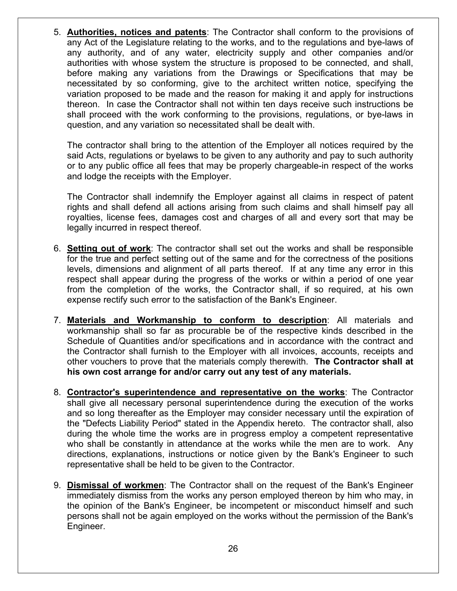5. **Authorities, notices and patents**: The Contractor shall conform to the provisions of any Act of the Legislature relating to the works, and to the regulations and bye-laws of any authority, and of any water, electricity supply and other companies and/or authorities with whose system the structure is proposed to be connected, and shall, before making any variations from the Drawings or Specifications that may be necessitated by so conforming, give to the architect written notice, specifying the variation proposed to be made and the reason for making it and apply for instructions thereon. In case the Contractor shall not within ten days receive such instructions be shall proceed with the work conforming to the provisions, regulations, or bye-laws in question, and any variation so necessitated shall be dealt with.

The contractor shall bring to the attention of the Employer all notices required by the said Acts, regulations or byelaws to be given to any authority and pay to such authority or to any public office all fees that may be properly chargeable-in respect of the works and lodge the receipts with the Employer.

The Contractor shall indemnify the Employer against all claims in respect of patent rights and shall defend all actions arising from such claims and shall himself pay all royalties, license fees, damages cost and charges of all and every sort that may be legally incurred in respect thereof.

- 6. **Setting out of work**: The contractor shall set out the works and shall be responsible for the true and perfect setting out of the same and for the correctness of the positions levels, dimensions and alignment of all parts thereof. If at any time any error in this respect shall appear during the progress of the works or within a period of one year from the completion of the works, the Contractor shall, if so required, at his own expense rectify such error to the satisfaction of the Bank's Engineer.
- 7. **Materials and Workmanship to conform to description**: All materials and workmanship shall so far as procurable be of the respective kinds described in the Schedule of Quantities and/or specifications and in accordance with the contract and the Contractor shall furnish to the Employer with all invoices, accounts, receipts and other vouchers to prove that the materials comply therewith. **The Contractor shall at his own cost arrange for and/or carry out any test of any materials.**
- 8. **Contractor's superintendence and representative on the works**: The Contractor shall give all necessary personal superintendence during the execution of the works and so long thereafter as the Employer may consider necessary until the expiration of the "Defects Liability Period" stated in the Appendix hereto. The contractor shall, also during the whole time the works are in progress employ a competent representative who shall be constantly in attendance at the works while the men are to work. Any directions, explanations, instructions or notice given by the Bank's Engineer to such representative shall be held to be given to the Contractor.
- 9. **Dismissal of workmen**: The Contractor shall on the request of the Bank's Engineer immediately dismiss from the works any person employed thereon by him who may, in the opinion of the Bank's Engineer, be incompetent or misconduct himself and such persons shall not be again employed on the works without the permission of the Bank's Engineer.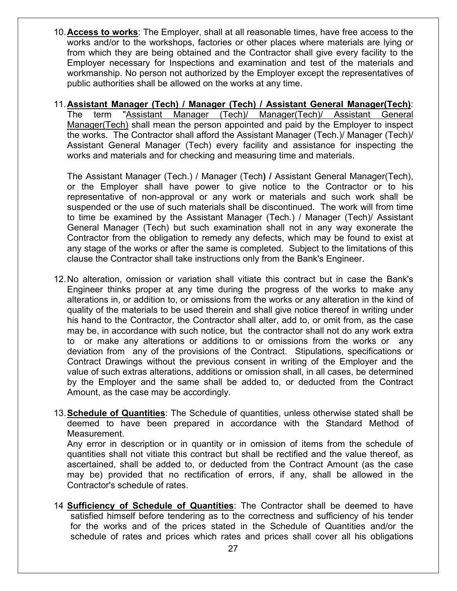- 10.**Access to works**: The Employer, shall at all reasonable times, have free access to the works and/or to the workshops, factories or other places where materials are lying or from which they are being obtained and the Contractor shall give every facility to the Employer necessary for Inspections and examination and test of the materials and workmanship. No person not authorized by the Employer except the representatives of public authorities shall be allowed on the works at any time.
- 11.**Assistant Manager (Tech) / Manager (Tech) / Assistant General Manager(Tech)**: The term "Assistant Manager (Tech)/ Manager(Tech)/ Assistant General Manager(Tech) shall mean the person appointed and paid by the Employer to inspect the works. The Contractor shall afford the Assistant Manager (Tech.)/ Manager (Tech)/ Assistant General Manager (Tech) every facility and assistance for inspecting the works and materials and for checking and measuring time and materials.

The Assistant Manager (Tech.) / Manager (Tech**) /** Assistant General Manager(Tech), or the Employer shall have power to give notice to the Contractor or to his representative of non-approval or any work or materials and such work shall be suspended or the use of such materials shall be discontinued. The work will from time to time be examined by the Assistant Manager (Tech.) / Manager (Tech)/ Assistant General Manager (Tech) but such examination shall not in any way exonerate the Contractor from the obligation to remedy any defects, which may be found to exist at any stage of the works or after the same is completed. Subject to the limitations of this clause the Contractor shall take instructions only from the Bank's Engineer.

- 12.No alteration, omission or variation shall vitiate this contract but in case the Bank's Engineer thinks proper at any time during the progress of the works to make any alterations in, or addition to, or omissions from the works or any alteration in the kind of quality of the materials to be used therein and shall give notice thereof in writing under his hand to the Contractor, the Contractor shall alter, add to, or omit from, as the case may be, in accordance with such notice, but the contractor shall not do any work extra to or make any alterations or additions to or omissions from the works or any deviation from any of the provisions of the Contract. Stipulations, specifications or Contract Drawings without the previous consent in writing of the Employer and the value of such extras alterations, additions or omission shall, in all cases, be determined by the Employer and the same shall be added to, or deducted from the Contract Amount, as the case may be accordingly.
- 13.**Schedule of Quantities**: The Schedule of quantities, unless otherwise stated shall be deemed to have been prepared in accordance with the Standard Method of Measurement.

Any error in description or in quantity or in omission of items from the schedule of quantities shall not vitiate this contract but shall be rectified and the value thereof, as ascertained, shall be added to, or deducted from the Contract Amount (as the case may be) provided that no rectification of errors, if any, shall be allowed in the Contractor's schedule of rates.

14 **Sufficiency of Schedule of Quantities**: The Contractor shall be deemed to have satisfied himself before tendering as to the correctness and sufficiency of his tender for the works and of the prices stated in the Schedule of Quantities and/or the schedule of rates and prices which rates and prices shall cover all his obligations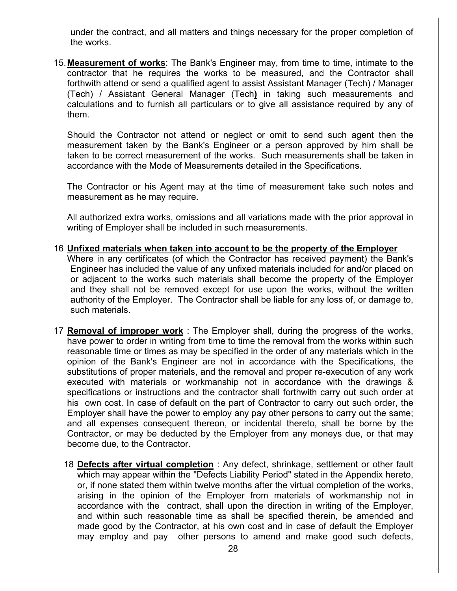under the contract, and all matters and things necessary for the proper completion of the works.

15.**Measurement of works**: The Bank's Engineer may, from time to time, intimate to the contractor that he requires the works to be measured, and the Contractor shall forthwith attend or send a qualified agent to assist Assistant Manager (Tech) / Manager (Tech) / Assistant General Manager (Tech**)** in taking such measurements and calculations and to furnish all particulars or to give all assistance required by any of them.

Should the Contractor not attend or neglect or omit to send such agent then the measurement taken by the Bank's Engineer or a person approved by him shall be taken to be correct measurement of the works. Such measurements shall be taken in accordance with the Mode of Measurements detailed in the Specifications.

The Contractor or his Agent may at the time of measurement take such notes and measurement as he may require.

All authorized extra works, omissions and all variations made with the prior approval in writing of Employer shall be included in such measurements.

- 16 **Unfixed materials when taken into account to be the property of the Employer**  Where in any certificates (of which the Contractor has received payment) the Bank's Engineer has included the value of any unfixed materials included for and/or placed on or adjacent to the works such materials shall become the property of the Employer and they shall not be removed except for use upon the works, without the written authority of the Employer. The Contractor shall be liable for any loss of, or damage to, such materials.
- 17 **Removal of improper work** : The Employer shall, during the progress of the works, have power to order in writing from time to time the removal from the works within such reasonable time or times as may be specified in the order of any materials which in the opinion of the Bank's Engineer are not in accordance with the Specifications, the substitutions of proper materials, and the removal and proper re-execution of any work executed with materials or workmanship not in accordance with the drawings & specifications or instructions and the contractor shall forthwith carry out such order at his own cost. In case of default on the part of Contractor to carry out such order, the Employer shall have the power to employ any pay other persons to carry out the same; and all expenses consequent thereon, or incidental thereto, shall be borne by the Contractor, or may be deducted by the Employer from any moneys due, or that may become due, to the Contractor.
	- 18 **Defects after virtual completion** : Any defect, shrinkage, settlement or other fault which may appear within the ''Defects Liability Period" stated in the Appendix hereto, or, if none stated them within twelve months after the virtual completion of the works, arising in the opinion of the Employer from materials of workmanship not in accordance with the contract, shall upon the direction in writing of the Employer, and within such reasonable time as shall be specified therein, be amended and made good by the Contractor, at his own cost and in case of default the Employer may employ and pay other persons to amend and make good such defects,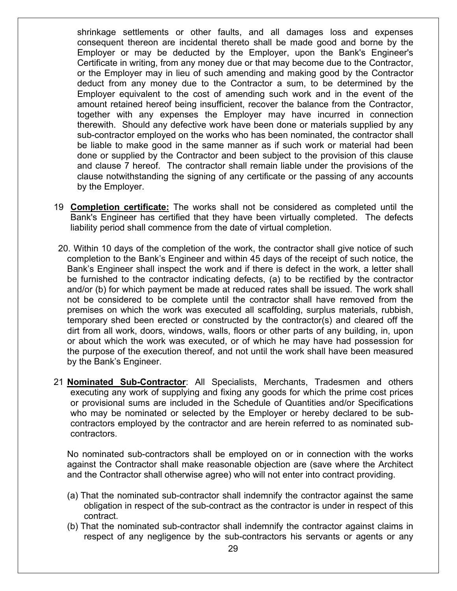shrinkage settlements or other faults, and all damages loss and expenses consequent thereon are incidental thereto shall be made good and borne by the Employer or may be deducted by the Employer, upon the Bank's Engineer's Certificate in writing, from any money due or that may become due to the Contractor, or the Employer may in lieu of such amending and making good by the Contractor deduct from any money due to the Contractor a sum, to be determined by the Employer equivalent to the cost of amending such work and in the event of the amount retained hereof being insufficient, recover the balance from the Contractor, together with any expenses the Employer may have incurred in connection therewith. Should any defective work have been done or materials supplied by any sub-contractor employed on the works who has been nominated, the contractor shall be liable to make good in the same manner as if such work or material had been done or supplied by the Contractor and been subject to the provision of this clause and clause 7 hereof. The contractor shall remain liable under the provisions of the clause notwithstanding the signing of any certificate or the passing of any accounts by the Employer.

- 19 **Completion certificate:** The works shall not be considered as completed until the Bank's Engineer has certified that they have been virtually completed. The defects liability period shall commence from the date of virtual completion.
- 20. Within 10 days of the completion of the work, the contractor shall give notice of such completion to the Bank's Engineer and within 45 days of the receipt of such notice, the Bank's Engineer shall inspect the work and if there is defect in the work, a letter shall be furnished to the contractor indicating defects, (a) to be rectified by the contractor and/or (b) for which payment be made at reduced rates shall be issued. The work shall not be considered to be complete until the contractor shall have removed from the premises on which the work was executed all scaffolding, surplus materials, rubbish, temporary shed been erected or constructed by the contractor(s) and cleared off the dirt from all work, doors, windows, walls, floors or other parts of any building, in, upon or about which the work was executed, or of which he may have had possession for the purpose of the execution thereof, and not until the work shall have been measured by the Bank's Engineer.
- 21 **Nominated Sub-Contractor**: All Specialists, Merchants, Tradesmen and others executing any work of supplying and fixing any goods for which the prime cost prices or provisional sums are included in the Schedule of Quantities and/or Specifications who may be nominated or selected by the Employer or hereby declared to be subcontractors employed by the contractor and are herein referred to as nominated subcontractors.

No nominated sub-contractors shall be employed on or in connection with the works against the Contractor shall make reasonable objection are (save where the Architect and the Contractor shall otherwise agree) who will not enter into contract providing.

- (a) That the nominated sub-contractor shall indemnify the contractor against the same obligation in respect of the sub-contract as the contractor is under in respect of this contract.
- (b) That the nominated sub-contractor shall indemnify the contractor against claims in respect of any negligence by the sub-contractors his servants or agents or any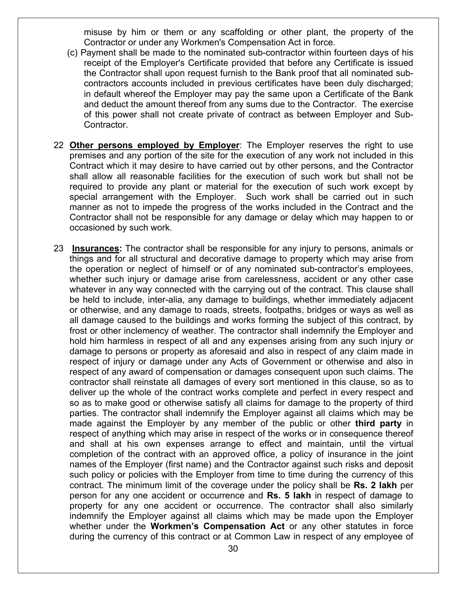misuse by him or them or any scaffolding or other plant, the property of the Contractor or under any Workmen's Compensation Act in force.

- (c) Payment shall be made to the nominated sub-contractor within fourteen days of his receipt of the Employer's Certificate provided that before any Certificate is issued the Contractor shall upon request furnish to the Bank proof that all nominated subcontractors accounts included in previous certificates have been duly discharged; in default whereof the Employer may pay the same upon a Certificate of the Bank and deduct the amount thereof from any sums due to the Contractor. The exercise of this power shall not create private of contract as between Employer and Sub-Contractor.
- 22 **Other persons employed by Employer**: The Employer reserves the right to use premises and any portion of the site for the execution of any work not included in this Contract which it may desire to have carried out by other persons, and the Contractor shall allow all reasonable facilities for the execution of such work but shall not be required to provide any plant or material for the execution of such work except by special arrangement with the Employer. Such work shall be carried out in such manner as not to impede the progress of the works included in the Contract and the Contractor shall not be responsible for any damage or delay which may happen to or occasioned by such work.
- 23 **Insurances:** The contractor shall be responsible for any injury to persons, animals or things and for all structural and decorative damage to property which may arise from the operation or neglect of himself or of any nominated sub-contractor's employees, whether such injury or damage arise from carelessness, accident or any other case whatever in any way connected with the carrying out of the contract. This clause shall be held to include, inter-alia, any damage to buildings, whether immediately adjacent or otherwise, and any damage to roads, streets, footpaths, bridges or ways as well as all damage caused to the buildings and works forming the subject of this contract, by frost or other inclemency of weather. The contractor shall indemnify the Employer and hold him harmless in respect of all and any expenses arising from any such injury or damage to persons or property as aforesaid and also in respect of any claim made in respect of injury or damage under any Acts of Government or otherwise and also in respect of any award of compensation or damages consequent upon such claims. The contractor shall reinstate all damages of every sort mentioned in this clause, so as to deliver up the whole of the contract works complete and perfect in every respect and so as to make good or otherwise satisfy all claims for damage to the property of third parties. The contractor shall indemnify the Employer against all claims which may be made against the Employer by any member of the public or other **third party** in respect of anything which may arise in respect of the works or in consequence thereof and shall at his own expenses arrange to effect and maintain, until the virtual completion of the contract with an approved office, a policy of insurance in the joint names of the Employer (first name) and the Contractor against such risks and deposit such policy or policies with the Employer from time to time during the currency of this contract. The minimum limit of the coverage under the policy shall be **Rs. 2 lakh** per person for any one accident or occurrence and **Rs. 5 lakh** in respect of damage to property for any one accident or occurrence. The contractor shall also similarly indemnify the Employer against all claims which may be made upon the Employer whether under the **Workmen's Compensation Act** or any other statutes in force during the currency of this contract or at Common Law in respect of any employee of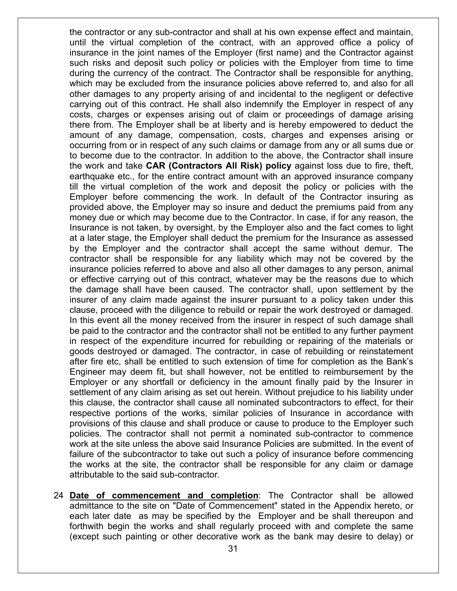the contractor or any sub-contractor and shall at his own expense effect and maintain, until the virtual completion of the contract, with an approved office a policy of insurance in the joint names of the Employer (first name) and the Contractor against such risks and deposit such policy or policies with the Employer from time to time during the currency of the contract. The Contractor shall be responsible for anything, which may be excluded from the insurance policies above referred to, and also for all other damages to any property arising of and incidental to the negligent or defective carrying out of this contract. He shall also indemnify the Employer in respect of any costs, charges or expenses arising out of claim or proceedings of damage arising there from. The Employer shall be at liberty and is hereby empowered to deduct the amount of any damage, compensation, costs, charges and expenses arising or occurring from or in respect of any such claims or damage from any or all sums due or to become due to the contractor. In addition to the above, the Contractor shall insure the work and take **CAR (Contractors All Risk) policy** against loss due to fire, theft, earthquake etc., for the entire contract amount with an approved insurance company till the virtual completion of the work and deposit the policy or policies with the Employer before commencing the work. In default of the Contractor insuring as provided above, the Employer may so insure and deduct the premiums paid from any money due or which may become due to the Contractor. In case, if for any reason, the Insurance is not taken, by oversight, by the Employer also and the fact comes to light at a later stage, the Employer shall deduct the premium for the Insurance as assessed by the Employer and the contractor shall accept the same without demur. The contractor shall be responsible for any liability which may not be covered by the insurance policies referred to above and also all other damages to any person, animal or effective carrying out of this contract, whatever may be the reasons due to which the damage shall have been caused. The contractor shall, upon settlement by the insurer of any claim made against the insurer pursuant to a policy taken under this clause, proceed with the diligence to rebuild or repair the work destroyed or damaged. In this event all the money received from the insurer in respect of such damage shall be paid to the contractor and the contractor shall not be entitled to any further payment in respect of the expenditure incurred for rebuilding or repairing of the materials or goods destroyed or damaged. The contractor, in case of rebuilding or reinstatement after fire etc, shall be entitled to such extension of time for completion as the Bank's Engineer may deem fit, but shall however, not be entitled to reimbursement by the Employer or any shortfall or deficiency in the amount finally paid by the Insurer in settlement of any claim arising as set out herein. Without prejudice to his liability under this clause, the contractor shall cause all nominated subcontractors to effect, for their respective portions of the works, similar policies of Insurance in accordance with provisions of this clause and shall produce or cause to produce to the Employer such policies. The contractor shall not permit a nominated sub-contractor to commence work at the site unless the above said Insurance Policies are submitted. In the event of failure of the subcontractor to take out such a policy of insurance before commencing the works at the site, the contractor shall be responsible for any claim or damage attributable to the said sub-contractor.

24 **Date of commencement and completion**: The Contractor shall be allowed admittance to the site on "Date of Commencement" stated in the Appendix hereto, or each later date as may be specified by the Employer and be shall thereupon and forthwith begin the works and shall regularly proceed with and complete the same (except such painting or other decorative work as the bank may desire to delay) or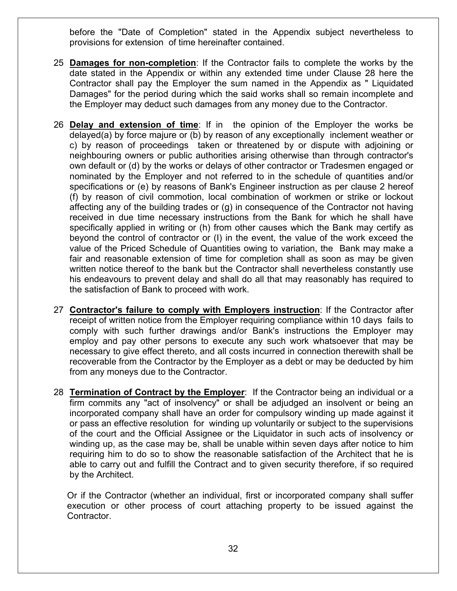before the "Date of Completion" stated in the Appendix subject nevertheless to provisions for extension of time hereinafter contained.

- 25 **Damages for non-completion**: If the Contractor fails to complete the works by the date stated in the Appendix or within any extended time under Clause 28 here the Contractor shall pay the Employer the sum named in the Appendix as " Liquidated Damages" for the period during which the said works shall so remain incomplete and the Employer may deduct such damages from any money due to the Contractor.
- 26 **Delay and extension of time**: If in the opinion of the Employer the works be delayed(a) by force majure or (b) by reason of any exceptionally inclement weather or c) by reason of proceedings taken or threatened by or dispute with adjoining or neighbouring owners or public authorities arising otherwise than through contractor's own default or (d) by the works or delays of other contractor or Tradesmen engaged or nominated by the Employer and not referred to in the schedule of quantities and/or specifications or (e) by reasons of Bank's Engineer instruction as per clause 2 hereof (f) by reason of civil commotion, local combination of workmen or strike or lockout affecting any of the building trades or (g) in consequence of the Contractor not having received in due time necessary instructions from the Bank for which he shall have specifically applied in writing or (h) from other causes which the Bank may certify as beyond the control of contractor or (I) in the event, the value of the work exceed the value of the Priced Schedule of Quantities owing to variation, the Bank may make a fair and reasonable extension of time for completion shall as soon as may be given written notice thereof to the bank but the Contractor shall nevertheless constantly use his endeavours to prevent delay and shall do all that may reasonably has required to the satisfaction of Bank to proceed with work.
- 27 **Contractor's failure to comply with Employers instruction**: If the Contractor after receipt of written notice from the Employer requiring compliance within 10 days fails to comply with such further drawings and/or Bank's instructions the Employer may employ and pay other persons to execute any such work whatsoever that may be necessary to give effect thereto, and all costs incurred in connection therewith shall be recoverable from the Contractor by the Employer as a debt or may be deducted by him from any moneys due to the Contractor.
- 28 **Termination of Contract by the Employer**: If the Contractor being an individual or a firm commits any "act of insolvency" or shall be adjudged an insolvent or being an incorporated company shall have an order for compulsory winding up made against it or pass an effective resolution for winding up voluntarily or subject to the supervisions of the court and the Official Assignee or the Liquidator in such acts of insolvency or winding up, as the case may be, shall be unable within seven days after notice to him requiring him to do so to show the reasonable satisfaction of the Architect that he is able to carry out and fulfill the Contract and to given security therefore, if so required by the Architect.

Or if the Contractor (whether an individual, first or incorporated company shall suffer execution or other process of court attaching property to be issued against the Contractor.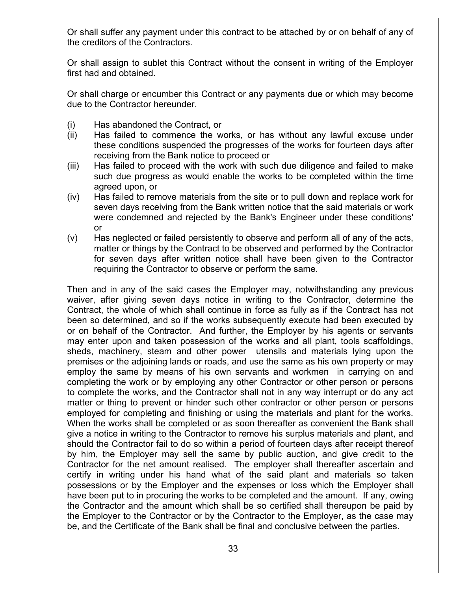Or shall suffer any payment under this contract to be attached by or on behalf of any of the creditors of the Contractors.

Or shall assign to sublet this Contract without the consent in writing of the Employer first had and obtained.

Or shall charge or encumber this Contract or any payments due or which may become due to the Contractor hereunder.

- (i) Has abandoned the Contract, or
- (ii) Has failed to commence the works, or has without any lawful excuse under these conditions suspended the progresses of the works for fourteen days after receiving from the Bank notice to proceed or
- (iii) Has failed to proceed with the work with such due diligence and failed to make such due progress as would enable the works to be completed within the time agreed upon, or
- (iv) Has failed to remove materials from the site or to pull down and replace work for seven days receiving from the Bank written notice that the said materials or work were condemned and rejected by the Bank's Engineer under these conditions' or
- (v) Has neglected or failed persistently to observe and perform all of any of the acts, matter or things by the Contract to be observed and performed by the Contractor for seven days after written notice shall have been given to the Contractor requiring the Contractor to observe or perform the same.

Then and in any of the said cases the Employer may, notwithstanding any previous waiver, after giving seven days notice in writing to the Contractor, determine the Contract, the whole of which shall continue in force as fully as if the Contract has not been so determined, and so if the works subsequently execute had been executed by or on behalf of the Contractor. And further, the Employer by his agents or servants may enter upon and taken possession of the works and all plant, tools scaffoldings, sheds, machinery, steam and other power utensils and materials lying upon the premises or the adjoining lands or roads, and use the same as his own property or may employ the same by means of his own servants and workmen in carrying on and completing the work or by employing any other Contractor or other person or persons to complete the works, and the Contractor shall not in any way interrupt or do any act matter or thing to prevent or hinder such other contractor or other person or persons employed for completing and finishing or using the materials and plant for the works. When the works shall be completed or as soon thereafter as convenient the Bank shall give a notice in writing to the Contractor to remove his surplus materials and plant, and should the Contractor fail to do so within a period of fourteen days after receipt thereof by him, the Employer may sell the same by public auction, and give credit to the Contractor for the net amount realised. The employer shall thereafter ascertain and certify in writing under his hand what of the said plant and materials so taken possessions or by the Employer and the expenses or loss which the Employer shall have been put to in procuring the works to be completed and the amount. If any, owing the Contractor and the amount which shall be so certified shall thereupon be paid by the Employer to the Contractor or by the Contractor to the Employer, as the case may be, and the Certificate of the Bank shall be final and conclusive between the parties.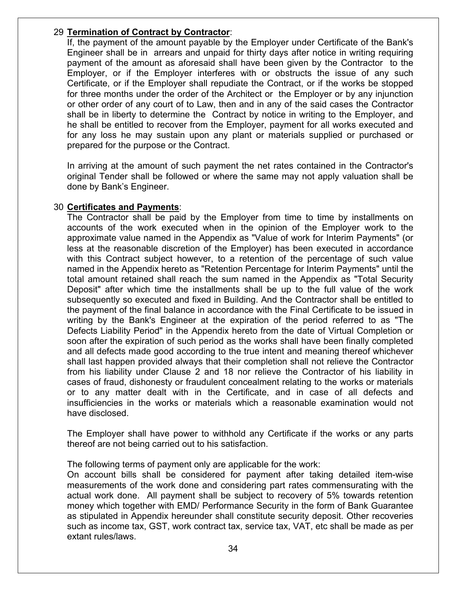### 29 **Termination of Contract by Contractor**:

If, the payment of the amount payable by the Employer under Certificate of the Bank's Engineer shall be in arrears and unpaid for thirty days after notice in writing requiring payment of the amount as aforesaid shall have been given by the Contractor to the Employer, or if the Employer interferes with or obstructs the issue of any such Certificate, or if the Employer shall repudiate the Contract, or if the works be stopped for three months under the order of the Architect or the Employer or by any injunction or other order of any court of to Law, then and in any of the said cases the Contractor shall be in liberty to determine the Contract by notice in writing to the Employer, and he shall be entitled to recover from the Employer, payment for all works executed and for any loss he may sustain upon any plant or materials supplied or purchased or prepared for the purpose or the Contract.

In arriving at the amount of such payment the net rates contained in the Contractor's original Tender shall be followed or where the same may not apply valuation shall be done by Bank's Engineer.

### 30 **Certificates and Payments**:

The Contractor shall be paid by the Employer from time to time by installments on accounts of the work executed when in the opinion of the Employer work to the approximate value named in the Appendix as "Value of work for Interim Payments" (or less at the reasonable discretion of the Employer) has been executed in accordance with this Contract subject however, to a retention of the percentage of such value named in the Appendix hereto as "Retention Percentage for Interim Payments" until the total amount retained shall reach the sum named in the Appendix as "Total Security Deposit" after which time the installments shall be up to the full value of the work subsequently so executed and fixed in Building. And the Contractor shall be entitled to the payment of the final balance in accordance with the Final Certificate to be issued in writing by the Bank's Engineer at the expiration of the period referred to as "The Defects Liability Period" in the Appendix hereto from the date of Virtual Completion or soon after the expiration of such period as the works shall have been finally completed and all defects made good according to the true intent and meaning thereof whichever shall last happen provided always that their completion shall not relieve the Contractor from his liability under Clause 2 and 18 nor relieve the Contractor of his liability in cases of fraud, dishonesty or fraudulent concealment relating to the works or materials or to any matter dealt with in the Certificate, and in case of all defects and insufficiencies in the works or materials which a reasonable examination would not have disclosed.

The Employer shall have power to withhold any Certificate if the works or any parts thereof are not being carried out to his satisfaction.

The following terms of payment only are applicable for the work:

On account bills shall be considered for payment after taking detailed item-wise measurements of the work done and considering part rates commensurating with the actual work done. All payment shall be subject to recovery of 5% towards retention money which together with EMD/ Performance Security in the form of Bank Guarantee as stipulated in Appendix hereunder shall constitute security deposit. Other recoveries such as income tax, GST, work contract tax, service tax, VAT, etc shall be made as per extant rules/laws.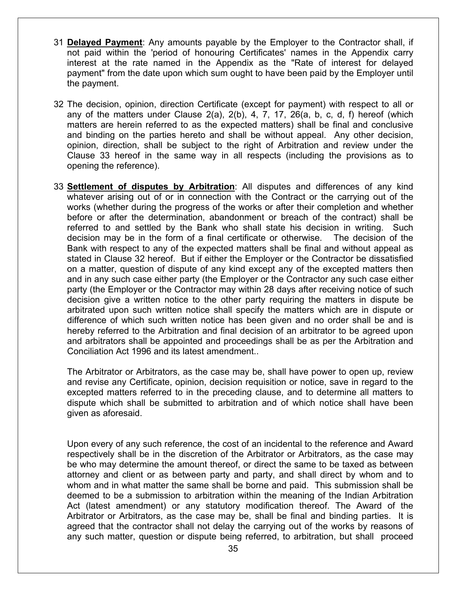- 31 **Delayed Payment**: Any amounts payable by the Employer to the Contractor shall, if not paid within the 'period of honouring Certificates' names in the Appendix carry interest at the rate named in the Appendix as the "Rate of interest for delayed payment" from the date upon which sum ought to have been paid by the Employer until the payment.
- 32 The decision, opinion, direction Certificate (except for payment) with respect to all or any of the matters under Clause 2(a), 2(b), 4, 7, 17, 26(a, b, c, d, f) hereof (which matters are herein referred to as the expected matters) shall be final and conclusive and binding on the parties hereto and shall be without appeal. Any other decision, opinion, direction, shall be subject to the right of Arbitration and review under the Clause 33 hereof in the same way in all respects (including the provisions as to opening the reference).
- 33 **Settlement of disputes by Arbitration**: All disputes and differences of any kind whatever arising out of or in connection with the Contract or the carrying out of the works (whether during the progress of the works or after their completion and whether before or after the determination, abandonment or breach of the contract) shall be referred to and settled by the Bank who shall state his decision in writing. Such decision may be in the form of a final certificate or otherwise. The decision of the Bank with respect to any of the expected matters shall be final and without appeal as stated in Clause 32 hereof. But if either the Employer or the Contractor be dissatisfied on a matter, question of dispute of any kind except any of the excepted matters then and in any such case either party (the Employer or the Contractor any such case either party (the Employer or the Contractor may within 28 days after receiving notice of such decision give a written notice to the other party requiring the matters in dispute be arbitrated upon such written notice shall specify the matters which are in dispute or difference of which such written notice has been given and no order shall be and is hereby referred to the Arbitration and final decision of an arbitrator to be agreed upon and arbitrators shall be appointed and proceedings shall be as per the Arbitration and Conciliation Act 1996 and its latest amendment..

The Arbitrator or Arbitrators, as the case may be, shall have power to open up, review and revise any Certificate, opinion, decision requisition or notice, save in regard to the excepted matters referred to in the preceding clause, and to determine all matters to dispute which shall be submitted to arbitration and of which notice shall have been given as aforesaid.

Upon every of any such reference, the cost of an incidental to the reference and Award respectively shall be in the discretion of the Arbitrator or Arbitrators, as the case may be who may determine the amount thereof, or direct the same to be taxed as between attorney and client or as between party and party, and shall direct by whom and to whom and in what matter the same shall be borne and paid. This submission shall be deemed to be a submission to arbitration within the meaning of the Indian Arbitration Act (latest amendment) or any statutory modification thereof. The Award of the Arbitrator or Arbitrators, as the case may be, shall be final and binding parties. It is agreed that the contractor shall not delay the carrying out of the works by reasons of any such matter, question or dispute being referred, to arbitration, but shall proceed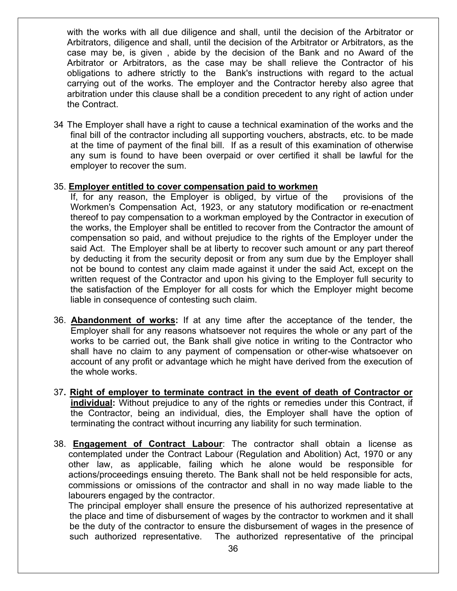with the works with all due diligence and shall, until the decision of the Arbitrator or Arbitrators, diligence and shall, until the decision of the Arbitrator or Arbitrators, as the case may be, is given , abide by the decision of the Bank and no Award of the Arbitrator or Arbitrators, as the case may be shall relieve the Contractor of his obligations to adhere strictly to the Bank's instructions with regard to the actual carrying out of the works. The employer and the Contractor hereby also agree that arbitration under this clause shall be a condition precedent to any right of action under the Contract.

34 The Employer shall have a right to cause a technical examination of the works and the final bill of the contractor including all supporting vouchers, abstracts, etc. to be made at the time of payment of the final bill. If as a result of this examination of otherwise any sum is found to have been overpaid or over certified it shall be lawful for the employer to recover the sum.

#### 35. **Employer entitled to cover compensation paid to workmen**

If, for any reason, the Employer is obliged, by virtue of the provisions of the Workmen's Compensation Act, 1923, or any statutory modification or re-enactment thereof to pay compensation to a workman employed by the Contractor in execution of the works, the Employer shall be entitled to recover from the Contractor the amount of compensation so paid, and without prejudice to the rights of the Employer under the said Act. The Employer shall be at liberty to recover such amount or any part thereof by deducting it from the security deposit or from any sum due by the Employer shall not be bound to contest any claim made against it under the said Act, except on the written request of the Contractor and upon his giving to the Employer full security to the satisfaction of the Employer for all costs for which the Employer might become liable in consequence of contesting such claim.

- 36. **Abandonment of works:** If at any time after the acceptance of the tender, the Employer shall for any reasons whatsoever not requires the whole or any part of the works to be carried out, the Bank shall give notice in writing to the Contractor who shall have no claim to any payment of compensation or other-wise whatsoever on account of any profit or advantage which he might have derived from the execution of the whole works.
- 37**. Right of employer to terminate contract in the event of death of Contractor or individual:** Without prejudice to any of the rights or remedies under this Contract, if the Contractor, being an individual, dies, the Employer shall have the option of terminating the contract without incurring any liability for such termination.
- 38. **Engagement of Contract Labour**: The contractor shall obtain a license as contemplated under the Contract Labour (Regulation and Abolition) Act, 1970 or any other law, as applicable, failing which he alone would be responsible for actions/proceedings ensuing thereto. The Bank shall not be held responsible for acts, commissions or omissions of the contractor and shall in no way made liable to the labourers engaged by the contractor.

The principal employer shall ensure the presence of his authorized representative at the place and time of disbursement of wages by the contractor to workmen and it shall be the duty of the contractor to ensure the disbursement of wages in the presence of such authorized representative. The authorized representative of the principal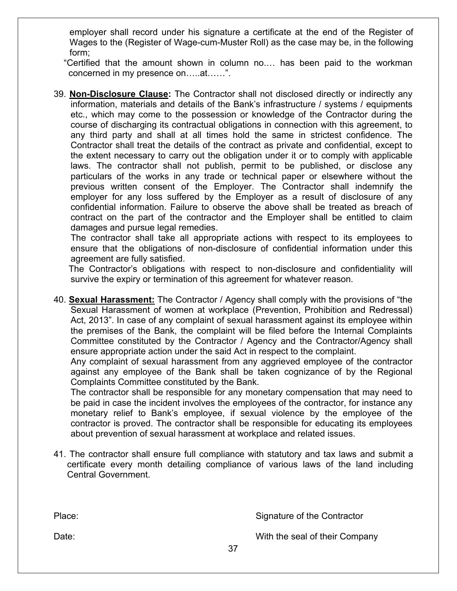employer shall record under his signature a certificate at the end of the Register of Wages to the (Register of Wage-cum-Muster Roll) as the case may be, in the following form;

"Certified that the amount shown in column no.… has been paid to the workman concerned in my presence on…..at……".

39. **Non-Disclosure Clause:** The Contractor shall not disclosed directly or indirectly any information, materials and details of the Bank's infrastructure / systems / equipments etc., which may come to the possession or knowledge of the Contractor during the course of discharging its contractual obligations in connection with this agreement, to any third party and shall at all times hold the same in strictest confidence. The Contractor shall treat the details of the contract as private and confidential, except to the extent necessary to carry out the obligation under it or to comply with applicable laws. The contractor shall not publish, permit to be published, or disclose any particulars of the works in any trade or technical paper or elsewhere without the previous written consent of the Employer. The Contractor shall indemnify the employer for any loss suffered by the Employer as a result of disclosure of any confidential information. Failure to observe the above shall be treated as breach of contract on the part of the contractor and the Employer shall be entitled to claim damages and pursue legal remedies.

The contractor shall take all appropriate actions with respect to its employees to ensure that the obligations of non-disclosure of confidential information under this agreement are fully satisfied.

 The Contractor's obligations with respect to non-disclosure and confidentiality will survive the expiry or termination of this agreement for whatever reason.

40. **Sexual Harassment:** The Contractor / Agency shall comply with the provisions of "the Sexual Harassment of women at workplace (Prevention, Prohibition and Redressal) Act, 2013". In case of any complaint of sexual harassment against its employee within the premises of the Bank, the complaint will be filed before the Internal Complaints Committee constituted by the Contractor / Agency and the Contractor/Agency shall ensure appropriate action under the said Act in respect to the complaint.

Any complaint of sexual harassment from any aggrieved employee of the contractor against any employee of the Bank shall be taken cognizance of by the Regional Complaints Committee constituted by the Bank.

The contractor shall be responsible for any monetary compensation that may need to be paid in case the incident involves the employees of the contractor, for instance any monetary relief to Bank's employee, if sexual violence by the employee of the contractor is proved. The contractor shall be responsible for educating its employees about prevention of sexual harassment at workplace and related issues.

41. The contractor shall ensure full compliance with statutory and tax laws and submit a certificate every month detailing compliance of various laws of the land including Central Government.

| Place: |    | Signature of the Contractor    |
|--------|----|--------------------------------|
| Date:  |    | With the seal of their Company |
|        | 37 |                                |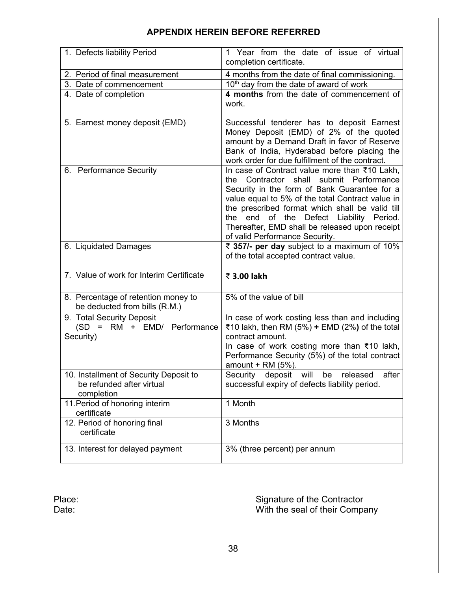## **APPENDIX HEREIN BEFORE REFERRED**

| 1. Defects liability Period                                                       | 1 Year from the date of issue of virtual<br>completion certificate.                                                                                                                                                                                                                                                                                                                                 |  |  |
|-----------------------------------------------------------------------------------|-----------------------------------------------------------------------------------------------------------------------------------------------------------------------------------------------------------------------------------------------------------------------------------------------------------------------------------------------------------------------------------------------------|--|--|
| 2. Period of final measurement<br>4 months from the date of final commissioning.  |                                                                                                                                                                                                                                                                                                                                                                                                     |  |  |
| 10 <sup>th</sup> day from the date of award of work<br>3. Date of commencement    |                                                                                                                                                                                                                                                                                                                                                                                                     |  |  |
| 4. Date of completion                                                             | 4 months from the date of commencement of<br>work.                                                                                                                                                                                                                                                                                                                                                  |  |  |
| 5. Earnest money deposit (EMD)                                                    | Successful tenderer has to deposit Earnest<br>Money Deposit (EMD) of 2% of the quoted<br>amount by a Demand Draft in favor of Reserve<br>Bank of India, Hyderabad before placing the<br>work order for due fulfillment of the contract.                                                                                                                                                             |  |  |
| 6. Performance Security                                                           | In case of Contract value more than ₹10 Lakh,<br>shall<br>submit Performance<br>Contractor<br>the<br>Security in the form of Bank Guarantee for a<br>value equal to 5% of the total Contract value in<br>the prescribed format which shall be valid till<br>Defect<br>Liability Period.<br>the<br>end<br>of the<br>Thereafter, EMD shall be released upon receipt<br>of valid Performance Security. |  |  |
| 6. Liquidated Damages                                                             | ₹ 357/- per day subject to a maximum of 10%<br>of the total accepted contract value.                                                                                                                                                                                                                                                                                                                |  |  |
| 7. Value of work for Interim Certificate                                          | ₹ 3.00 lakh                                                                                                                                                                                                                                                                                                                                                                                         |  |  |
| 8. Percentage of retention money to<br>be deducted from bills (R.M.)              | 5% of the value of bill                                                                                                                                                                                                                                                                                                                                                                             |  |  |
| 9. Total Security Deposit<br>(SD = RM + EMD/ Performance<br>Security)             | In case of work costing less than and including<br>₹10 lakh, then RM (5%) + EMD (2%) of the total<br>contract amount.<br>In case of work costing more than ₹10 lakh,<br>Performance Security (5%) of the total contract<br>amount $+$ RM (5%).                                                                                                                                                      |  |  |
| 10. Installment of Security Deposit to<br>be refunded after virtual<br>completion | Security deposit will<br>be<br>released<br>after<br>successful expiry of defects liability period.                                                                                                                                                                                                                                                                                                  |  |  |
| 11. Period of honoring interim<br>certificate                                     | 1 Month                                                                                                                                                                                                                                                                                                                                                                                             |  |  |
| 12. Period of honoring final<br>certificate                                       | 3 Months                                                                                                                                                                                                                                                                                                                                                                                            |  |  |
| 13. Interest for delayed payment                                                  | 3% (three percent) per annum                                                                                                                                                                                                                                                                                                                                                                        |  |  |

Place: Signature of the Contractor Date: With the seal of their Company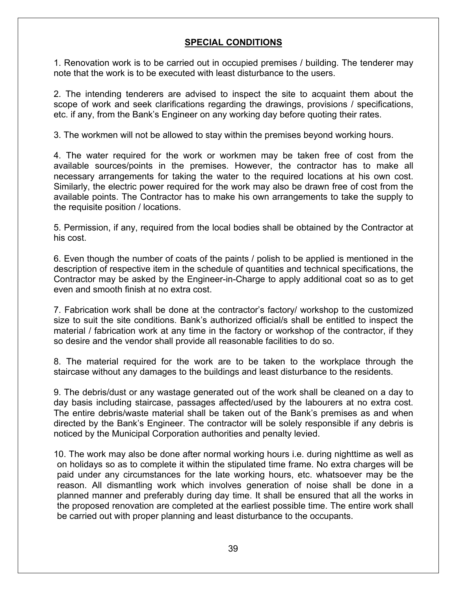## **SPECIAL CONDITIONS**

1. Renovation work is to be carried out in occupied premises / building. The tenderer may note that the work is to be executed with least disturbance to the users.

2. The intending tenderers are advised to inspect the site to acquaint them about the scope of work and seek clarifications regarding the drawings, provisions / specifications, etc. if any, from the Bank's Engineer on any working day before quoting their rates.

3. The workmen will not be allowed to stay within the premises beyond working hours.

4. The water required for the work or workmen may be taken free of cost from the available sources/points in the premises. However, the contractor has to make all necessary arrangements for taking the water to the required locations at his own cost. Similarly, the electric power required for the work may also be drawn free of cost from the available points. The Contractor has to make his own arrangements to take the supply to the requisite position / locations.

5. Permission, if any, required from the local bodies shall be obtained by the Contractor at his cost.

6. Even though the number of coats of the paints / polish to be applied is mentioned in the description of respective item in the schedule of quantities and technical specifications, the Contractor may be asked by the Engineer-in-Charge to apply additional coat so as to get even and smooth finish at no extra cost.

7. Fabrication work shall be done at the contractor's factory/ workshop to the customized size to suit the site conditions. Bank's authorized official/s shall be entitled to inspect the material / fabrication work at any time in the factory or workshop of the contractor, if they so desire and the vendor shall provide all reasonable facilities to do so.

8. The material required for the work are to be taken to the workplace through the staircase without any damages to the buildings and least disturbance to the residents.

9. The debris/dust or any wastage generated out of the work shall be cleaned on a day to day basis including staircase, passages affected/used by the labourers at no extra cost. The entire debris/waste material shall be taken out of the Bank's premises as and when directed by the Bank's Engineer. The contractor will be solely responsible if any debris is noticed by the Municipal Corporation authorities and penalty levied.

10. The work may also be done after normal working hours i.e. during nighttime as well as on holidays so as to complete it within the stipulated time frame. No extra charges will be paid under any circumstances for the late working hours, etc. whatsoever may be the reason. All dismantling work which involves generation of noise shall be done in a planned manner and preferably during day time. It shall be ensured that all the works in the proposed renovation are completed at the earliest possible time. The entire work shall be carried out with proper planning and least disturbance to the occupants.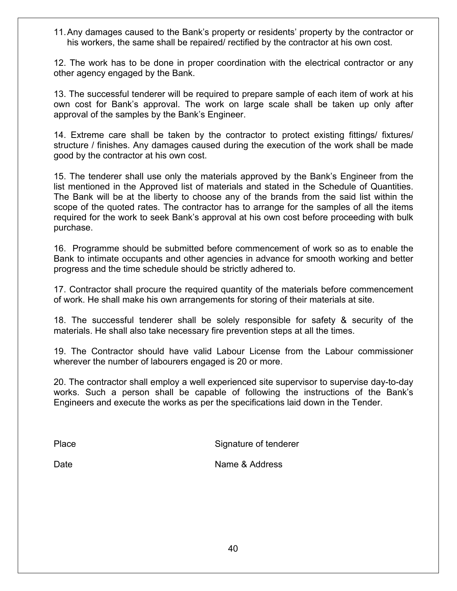11.Any damages caused to the Bank's property or residents' property by the contractor or his workers, the same shall be repaired/ rectified by the contractor at his own cost.

12. The work has to be done in proper coordination with the electrical contractor or any other agency engaged by the Bank.

13. The successful tenderer will be required to prepare sample of each item of work at his own cost for Bank's approval. The work on large scale shall be taken up only after approval of the samples by the Bank's Engineer.

14. Extreme care shall be taken by the contractor to protect existing fittings/ fixtures/ structure / finishes. Any damages caused during the execution of the work shall be made good by the contractor at his own cost.

15. The tenderer shall use only the materials approved by the Bank's Engineer from the list mentioned in the Approved list of materials and stated in the Schedule of Quantities. The Bank will be at the liberty to choose any of the brands from the said list within the scope of the quoted rates. The contractor has to arrange for the samples of all the items required for the work to seek Bank's approval at his own cost before proceeding with bulk purchase.

16. Programme should be submitted before commencement of work so as to enable the Bank to intimate occupants and other agencies in advance for smooth working and better progress and the time schedule should be strictly adhered to.

17. Contractor shall procure the required quantity of the materials before commencement of work. He shall make his own arrangements for storing of their materials at site.

18. The successful tenderer shall be solely responsible for safety & security of the materials. He shall also take necessary fire prevention steps at all the times.

19. The Contractor should have valid Labour License from the Labour commissioner wherever the number of labourers engaged is 20 or more.

20. The contractor shall employ a well experienced site supervisor to supervise day-to-day works. Such a person shall be capable of following the instructions of the Bank's Engineers and execute the works as per the specifications laid down in the Tender.

Place Signature of tenderer

Date **Name & Address**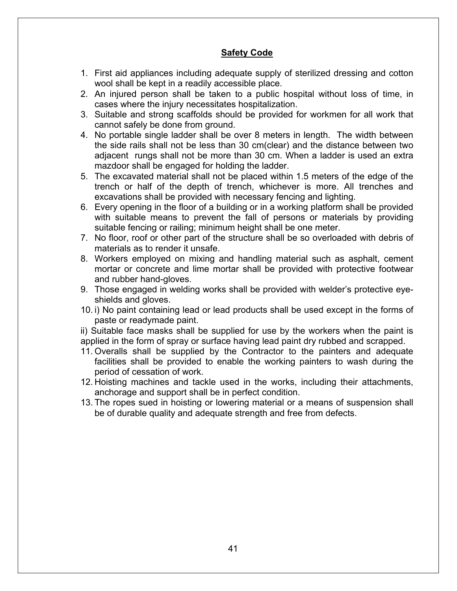### **Safety Code**

- 1. First aid appliances including adequate supply of sterilized dressing and cotton wool shall be kept in a readily accessible place.
- 2. An injured person shall be taken to a public hospital without loss of time, in cases where the injury necessitates hospitalization.
- 3. Suitable and strong scaffolds should be provided for workmen for all work that cannot safely be done from ground.
- 4. No portable single ladder shall be over 8 meters in length. The width between the side rails shall not be less than 30 cm(clear) and the distance between two adjacent rungs shall not be more than 30 cm. When a ladder is used an extra mazdoor shall be engaged for holding the ladder.
- 5. The excavated material shall not be placed within 1.5 meters of the edge of the trench or half of the depth of trench, whichever is more. All trenches and excavations shall be provided with necessary fencing and lighting.
- 6. Every opening in the floor of a building or in a working platform shall be provided with suitable means to prevent the fall of persons or materials by providing suitable fencing or railing; minimum height shall be one meter.
- 7. No floor, roof or other part of the structure shall be so overloaded with debris of materials as to render it unsafe.
- 8. Workers employed on mixing and handling material such as asphalt, cement mortar or concrete and lime mortar shall be provided with protective footwear and rubber hand-gloves.
- 9. Those engaged in welding works shall be provided with welder's protective eyeshields and gloves.
- 10. i) No paint containing lead or lead products shall be used except in the forms of paste or readymade paint.

ii) Suitable face masks shall be supplied for use by the workers when the paint is applied in the form of spray or surface having lead paint dry rubbed and scrapped.

- 11. Overalls shall be supplied by the Contractor to the painters and adequate facilities shall be provided to enable the working painters to wash during the period of cessation of work.
- 12. Hoisting machines and tackle used in the works, including their attachments, anchorage and support shall be in perfect condition.
- 13. The ropes sued in hoisting or lowering material or a means of suspension shall be of durable quality and adequate strength and free from defects.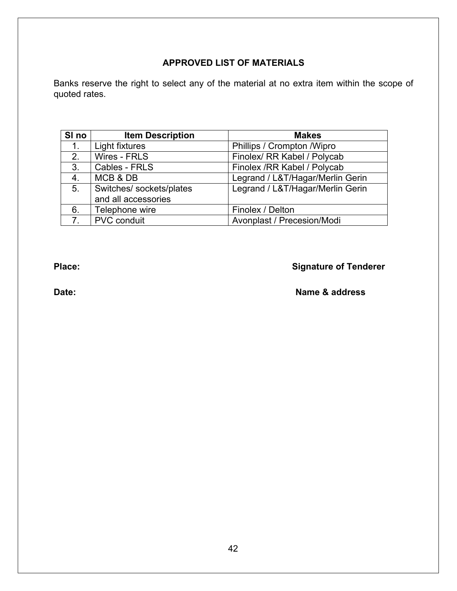## **APPROVED LIST OF MATERIALS**

Banks reserve the right to select any of the material at no extra item within the scope of quoted rates.

| SI no          | <b>Item Description</b>                         | <b>Makes</b>                     |  |
|----------------|-------------------------------------------------|----------------------------------|--|
| 1.             | Light fixtures                                  | Phillips / Crompton / Wipro      |  |
| 2.             | Wires - FRLS                                    | Finolex/ RR Kabel / Polycab      |  |
| 3.             | Cables - FRLS                                   | Finolex / RR Kabel / Polycab     |  |
| 4.             | MCB & DB                                        | Legrand / L&T/Hagar/Merlin Gerin |  |
| 5.             | Switches/ sockets/plates<br>and all accessories | Legrand / L&T/Hagar/Merlin Gerin |  |
| 6.             | Telephone wire                                  | Finolex / Delton                 |  |
| 7 <sub>1</sub> | <b>PVC</b> conduit                              | Avonplast / Precesion/Modi       |  |

# **Place: Place: Place: Place: Place: Signature of Tenderer**

## **Date:** Name & address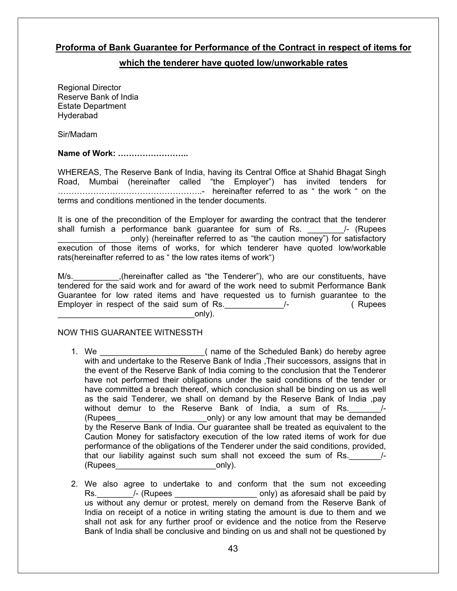#### **Proforma of Bank Guarantee for Performance of the Contract in respect of items for**

#### **which the tenderer have quoted low/unworkable rates**

Regional Director Reserve Bank of India Estate Department **Hyderabad** 

Sir/Madam

#### **Name of Work: ……………………..**

WHEREAS, The Reserve Bank of India, having its Central Office at Shahid Bhagat Singh Road, Mumbai (hereinafter called "the Employer") has invited tenders for ……………………………………………..- hereinafter referred to as " the work " on the terms and conditions mentioned in the tender documents.

It is one of the precondition of the Employer for awarding the contract that the tenderer shall furnish a performance bank guarantee for sum of Rs. 4 /- (Rupees only) (hereinafter referred to as "the caution money") for satisfactory execution of those items of works, for which tenderer have quoted low/workable rats(hereinafter referred to as " the low rates items of work")

M/s. **EXECT:** (hereinafter called as "the Tenderer"), who are our constituents, have tendered for the said work and for award of the work need to submit Performance Bank Guarantee for low rated items and have requested us to furnish guarantee to the Employer in respect of the said sum of Rs. \_\_\_\_\_\_\_\_\_\_\_\_\_\_\_\_/- (Rupees  $\mathsf{only}$ ).

#### NOW THIS GUARANTEE WITNESSTH

- 1. We \_\_\_\_\_\_\_\_\_\_\_\_\_\_\_\_\_\_\_\_\_\_\_\_\_\_\_\_( name of the Scheduled Bank) do hereby agree with and undertake to the Reserve Bank of India , Their successors, assigns that in the event of the Reserve Bank of India coming to the conclusion that the Tenderer have not performed their obligations under the said conditions of the tender or have committed a breach thereof, which conclusion shall be binding on us as well as the said Tenderer, we shall on demand by the Reserve Bank of India ,pay without demur to the Reserve Bank of India, a sum of Rs.  $\frac{1}{2}$ (Rupees example only) or any low amount that may be demanded by the Reserve Bank of India. Our guarantee shall be treated as equivalent to the Caution Money for satisfactory execution of the low rated items of work for due performance of the obligations of the Tenderer under the said conditions, provided, that our liability against such sum shall not exceed the sum of Rs.  $\frac{1}{2}$ (Rupees only).
- 2. We also agree to undertake to and conform that the sum not exceeding Rs. All  $\overline{R}$  /- (Rupees  $\overline{R}$  /  $\overline{R}$  as aforesaid shall be paid by us without any demur or protest, merely on demand from the Reserve Bank of India on receipt of a notice in writing stating the amount is due to them and we shall not ask for any further proof or evidence and the notice from the Reserve Bank of India shall be conclusive and binding on us and shall not be questioned by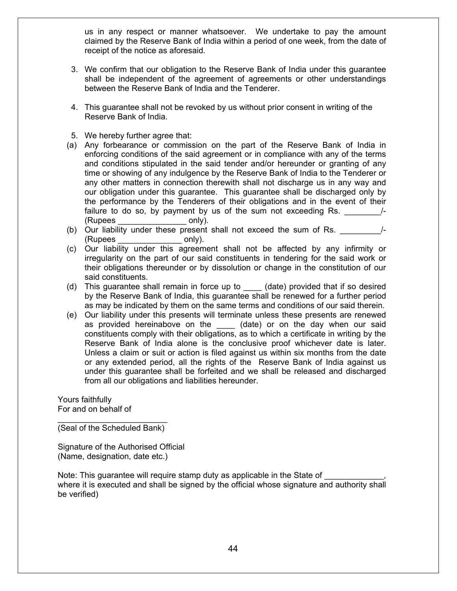us in any respect or manner whatsoever. We undertake to pay the amount claimed by the Reserve Bank of India within a period of one week, from the date of receipt of the notice as aforesaid.

- 3. We confirm that our obligation to the Reserve Bank of India under this guarantee shall be independent of the agreement of agreements or other understandings between the Reserve Bank of India and the Tenderer.
- 4. This guarantee shall not be revoked by us without prior consent in writing of the Reserve Bank of India.
- 5. We hereby further agree that:
- (a) Any forbearance or commission on the part of the Reserve Bank of India in enforcing conditions of the said agreement or in compliance with any of the terms and conditions stipulated in the said tender and/or hereunder or granting of any time or showing of any indulgence by the Reserve Bank of India to the Tenderer or any other matters in connection therewith shall not discharge us in any way and our obligation under this guarantee. This guarantee shall be discharged only by the performance by the Tenderers of their obligations and in the event of their failure to do so, by payment by us of the sum not exceeding Rs.  $\frac{1}{2}$ (Rupees \_\_\_\_\_\_\_\_\_\_\_\_\_\_\_ only).
- (b) Our liability under these present shall not exceed the sum of Rs.  $\frac{1}{2}$ (Rupees only).
- (c) Our liability under this agreement shall not be affected by any infirmity or irregularity on the part of our said constituents in tendering for the said work or their obligations thereunder or by dissolution or change in the constitution of our said constituents.
- (d) This guarantee shall remain in force up to \_\_\_\_ (date) provided that if so desired by the Reserve Bank of India, this guarantee shall be renewed for a further period as may be indicated by them on the same terms and conditions of our said therein.
- (e) Our liability under this presents will terminate unless these presents are renewed as provided hereinabove on the (date) or on the day when our said constituents comply with their obligations, as to which a certificate in writing by the Reserve Bank of India alone is the conclusive proof whichever date is later. Unless a claim or suit or action is filed against us within six months from the date or any extended period, all the rights of the Reserve Bank of India against us under this guarantee shall be forfeited and we shall be released and discharged from all our obligations and liabilities hereunder.

Yours faithfully For and on behalf of

 $\frac{1}{2}$  , and the set of the set of the set of the set of the set of the set of the set of the set of the set of the set of the set of the set of the set of the set of the set of the set of the set of the set of the set (Seal of the Scheduled Bank)

Signature of the Authorised Official (Name, designation, date etc.)

Note: This guarantee will require stamp duty as applicable in the State of where it is executed and shall be signed by the official whose signature and authority shall be verified)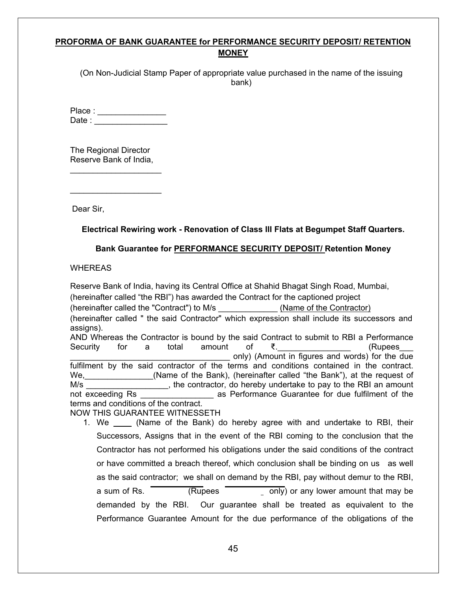### **PROFORMA OF BANK GUARANTEE for PERFORMANCE SECURITY DEPOSIT/ RETENTION MONEY**

(On Non-Judicial Stamp Paper of appropriate value purchased in the name of the issuing bank)

Place :  $\blacksquare$  $Date:$ 

The Regional Director Reserve Bank of India,

\_\_\_\_\_\_\_\_\_\_\_\_\_\_\_\_\_\_\_\_

 $\_$ 

Dear Sir,

**Electrical Rewiring work - Renovation of Class III Flats at Begumpet Staff Quarters.**

#### **Bank Guarantee for PERFORMANCE SECURITY DEPOSIT/ Retention Money**

**WHEREAS** 

Reserve Bank of India, having its Central Office at Shahid Bhagat Singh Road, Mumbai, (hereinafter called "the RBI") has awarded the Contract for the captioned project (hereinafter called the "Contract") to M/s (Name of the Contractor) (hereinafter called " the said Contractor" which expression shall include its successors and assigns). AND Whereas the Contractor is bound by the said Contract to submit to RBI a Performance Security for a total amount of ₹.\_\_\_\_\_\_\_\_\_\_\_\_\_\_\_\_ (Rupees\_\_\_ only) (Amount in figures and words) for the due fulfilment by the said contractor of the terms and conditions contained in the contract. We, the same of the Bank), (hereinafter called "the Bank"), at the request of M/s \_\_\_\_\_\_\_\_\_\_\_\_\_\_\_\_\_\_\_\_\_, the contractor, do hereby undertake to pay to the RBI an amount not exceeding Rs degree as Performance Guarantee for due fulfilment of the as Performance Guarantee for due fulfilment of the terms and conditions of the contract. NOW THIS GUARANTEE WITNESSETH

1. We \_\_\_\_ (Name of the Bank) do hereby agree with and undertake to RBI, their Successors, Assigns that in the event of the RBI coming to the conclusion that the Contractor has not performed his obligations under the said conditions of the contract or have committed a breach thereof, which conclusion shall be binding on us as well as the said contractor; we shall on demand by the RBI, pay without demur to the RBI, a sum of Rs. **COLOGET CONCERT CONCERT CONCERT** only) or any lower amount that may be demanded by the RBI. Our guarantee shall be treated as equivalent to the Performance Guarantee Amount for the due performance of the obligations of the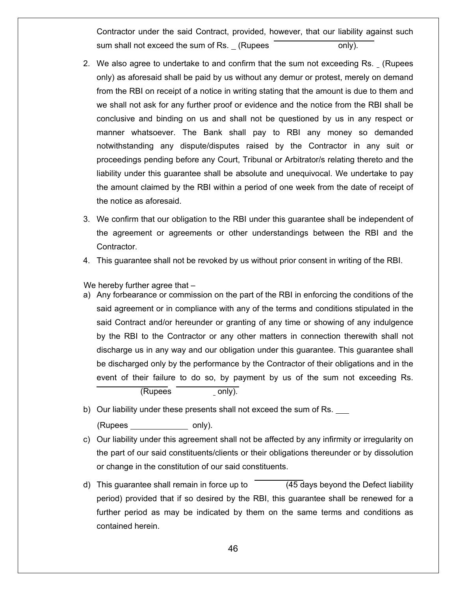Contractor under the said Contract, provided, however, that our liability against such sum shall not exceed the sum of  $\text{Rs.}$  (Rupees  $\overline{\hspace{1cm}}$  only).

- 2. We also agree to undertake to and confirm that the sum not exceeding Rs. (Rupees only) as aforesaid shall be paid by us without any demur or protest, merely on demand from the RBI on receipt of a notice in writing stating that the amount is due to them and we shall not ask for any further proof or evidence and the notice from the RBI shall be conclusive and binding on us and shall not be questioned by us in any respect or manner whatsoever. The Bank shall pay to RBI any money so demanded notwithstanding any dispute/disputes raised by the Contractor in any suit or proceedings pending before any Court, Tribunal or Arbitrator/s relating thereto and the liability under this guarantee shall be absolute and unequivocal. We undertake to pay the amount claimed by the RBI within a period of one week from the date of receipt of the notice as aforesaid.
- 3. We confirm that our obligation to the RBI under this guarantee shall be independent of the agreement or agreements or other understandings between the RBI and the Contractor.
- 4. This guarantee shall not be revoked by us without prior consent in writing of the RBI.

We hereby further agree that  $-$ 

a) Any forbearance or commission on the part of the RBI in enforcing the conditions of the said agreement or in compliance with any of the terms and conditions stipulated in the said Contract and/or hereunder or granting of any time or showing of any indulgence by the RBI to the Contractor or any other matters in connection therewith shall not discharge us in any way and our obligation under this guarantee. This guarantee shall be discharged only by the performance by the Contractor of their obligations and in the event of their failure to do so, by payment by us of the sum not exceeding Rs.

(Rupees only).

b) Our liability under these presents shall not exceed the sum of Rs.

(Rupees only).

- c) Our liability under this agreement shall not be affected by any infirmity or irregularity on the part of our said constituents/clients or their obligations thereunder or by dissolution or change in the constitution of our said constituents.
- d) This guarantee shall remain in force up to  $(45 \text{ days}$  beyond the Defect liability period) provided that if so desired by the RBI, this guarantee shall be renewed for a further period as may be indicated by them on the same terms and conditions as contained herein.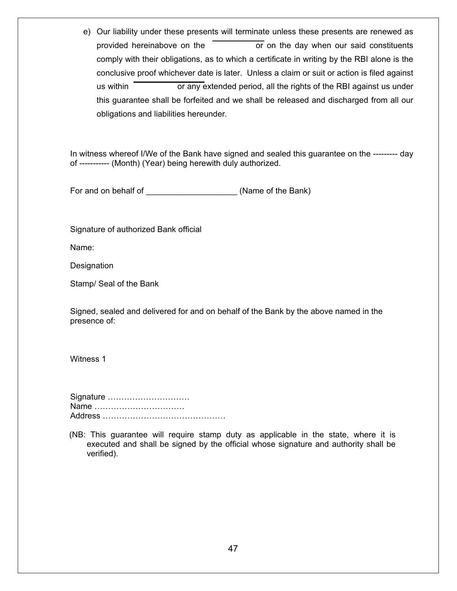e) Our liability under these presents will terminate unless these presents are renewed as provided hereinabove on the  $\overline{\hspace{1cm}}$  or on the day when our said constituents comply with their obligations, as to which a certificate in writing by the RBI alone is the conclusive proof whichever date is later. Unless a claim or suit or action is filed against us within **the rights of the RBI** against us under this guarantee shall be forfeited and we shall be released and discharged from all our obligations and liabilities hereunder.

In witness whereof I/We of the Bank have signed and sealed this guarantee on the --------- day of ----------- (Month) (Year) being herewith duly authorized.

For and on behalf of \_\_\_\_\_\_\_\_\_\_\_\_\_\_\_\_\_\_\_\_\_\_\_\_\_\_\_\_\_(Name of the Bank)

Signature of authorized Bank official

Name:

Designation

Stamp/ Seal of the Bank

Signed, sealed and delivered for and on behalf of the Bank by the above named in the presence of:

Witness 1

Signature ………………………… Name …………………………… Address ………………………………………

(NB: This guarantee will require stamp duty as applicable in the state, where it is executed and shall be signed by the official whose signature and authority shall be verified).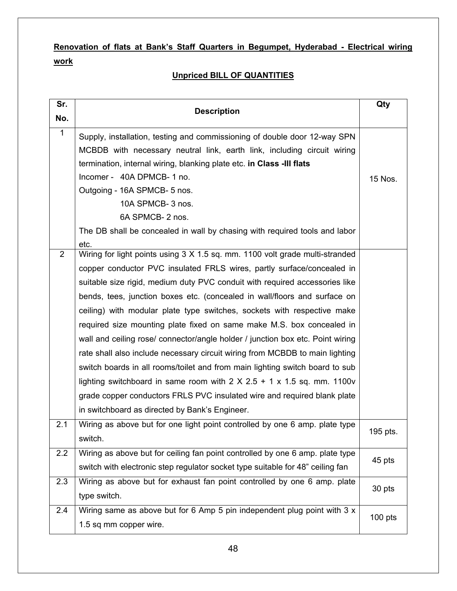# **Renovation of flats at Bank's Staff Quarters in Begumpet, Hyderabad - Electrical wiring work**

## **Unpriced BILL OF QUANTITIES**

| Sr.                    |                                                                                    |           |  |
|------------------------|------------------------------------------------------------------------------------|-----------|--|
| No.                    | <b>Description</b>                                                                 |           |  |
| $\mathbf{1}$           | Supply, installation, testing and commissioning of double door 12-way SPN          |           |  |
|                        | MCBDB with necessary neutral link, earth link, including circuit wiring            |           |  |
|                        | termination, internal wiring, blanking plate etc. in Class -III flats              |           |  |
|                        | Incomer - 40A DPMCB-1 no.                                                          | 15 Nos.   |  |
|                        | Outgoing - 16A SPMCB- 5 nos.                                                       |           |  |
|                        | 10A SPMCB- 3 nos.                                                                  |           |  |
|                        | 6A SPMCB-2 nos.                                                                    |           |  |
|                        | The DB shall be concealed in wall by chasing with required tools and labor         |           |  |
|                        | etc.                                                                               |           |  |
| $\overline{2}$         | Wiring for light points using 3 X 1.5 sq. mm. 1100 volt grade multi-stranded       |           |  |
|                        | copper conductor PVC insulated FRLS wires, partly surface/concealed in             |           |  |
|                        | suitable size rigid, medium duty PVC conduit with required accessories like        |           |  |
|                        | bends, tees, junction boxes etc. (concealed in wall/floors and surface on          |           |  |
|                        | ceiling) with modular plate type switches, sockets with respective make            |           |  |
|                        | required size mounting plate fixed on same make M.S. box concealed in              |           |  |
|                        | wall and ceiling rose/ connector/angle holder / junction box etc. Point wiring     |           |  |
|                        | rate shall also include necessary circuit wiring from MCBDB to main lighting       |           |  |
|                        | switch boards in all rooms/toilet and from main lighting switch board to sub       |           |  |
|                        | lighting switchboard in same room with $2 \times 2.5 + 1 \times 1.5$ sq. mm. 1100v |           |  |
|                        | grade copper conductors FRLS PVC insulated wire and required blank plate           |           |  |
|                        | in switchboard as directed by Bank's Engineer.                                     |           |  |
| 2.1                    | Wiring as above but for one light point controlled by one 6 amp. plate type        |           |  |
|                        | switch.                                                                            | 195 pts.  |  |
| 2.2                    | Wiring as above but for ceiling fan point controlled by one 6 amp. plate type      |           |  |
|                        | switch with electronic step regulator socket type suitable for 48" ceiling fan     | 45 pts    |  |
| 2.3                    | Wiring as above but for exhaust fan point controlled by one 6 amp. plate           |           |  |
|                        | type switch.                                                                       | 30 pts    |  |
| 2.4                    | Wiring same as above but for 6 Amp 5 pin independent plug point with 3 x           |           |  |
| 1.5 sq mm copper wire. |                                                                                    | $100$ pts |  |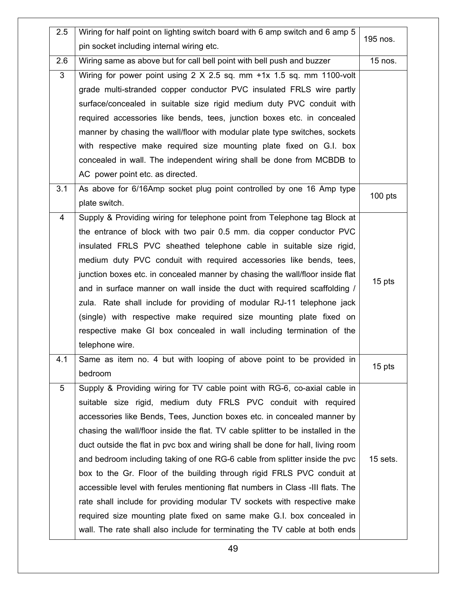| 2.5            | Wiring for half point on lighting switch board with 6 amp switch and 6 amp 5<br>pin socket including internal wiring etc. | 195 nos.  |
|----------------|---------------------------------------------------------------------------------------------------------------------------|-----------|
| 2.6            | Wiring same as above but for call bell point with bell push and buzzer                                                    | 15 nos.   |
| 3              | Wiring for power point using 2 X 2.5 sq. mm +1x 1.5 sq. mm 1100-volt                                                      |           |
|                | grade multi-stranded copper conductor PVC insulated FRLS wire partly                                                      |           |
|                | surface/concealed in suitable size rigid medium duty PVC conduit with                                                     |           |
|                | required accessories like bends, tees, junction boxes etc. in concealed                                                   |           |
|                | manner by chasing the wall/floor with modular plate type switches, sockets                                                |           |
|                | with respective make required size mounting plate fixed on G.I. box                                                       |           |
|                | concealed in wall. The independent wiring shall be done from MCBDB to                                                     |           |
|                | AC power point etc. as directed.                                                                                          |           |
| 3.1            | As above for 6/16Amp socket plug point controlled by one 16 Amp type                                                      |           |
|                | plate switch.                                                                                                             | $100$ pts |
| 4              | Supply & Providing wiring for telephone point from Telephone tag Block at                                                 |           |
|                | the entrance of block with two pair 0.5 mm. dia copper conductor PVC                                                      |           |
|                | insulated FRLS PVC sheathed telephone cable in suitable size rigid,                                                       |           |
|                | medium duty PVC conduit with required accessories like bends, tees,                                                       |           |
|                | junction boxes etc. in concealed manner by chasing the wall/floor inside flat                                             |           |
|                | and in surface manner on wall inside the duct with required scaffolding /                                                 | 15 pts    |
|                | zula. Rate shall include for providing of modular RJ-11 telephone jack                                                    |           |
|                | (single) with respective make required size mounting plate fixed on                                                       |           |
|                | respective make GI box concealed in wall including termination of the                                                     |           |
|                | telephone wire.                                                                                                           |           |
| 4.1            | Same as item no. 4 but with looping of above point to be provided in                                                      | 15 pts    |
|                | bedroom                                                                                                                   |           |
| $\overline{5}$ | Supply & Providing wiring for TV cable point with RG-6, co-axial cable in                                                 |           |
|                | suitable size rigid, medium duty FRLS PVC conduit with required                                                           |           |
|                | accessories like Bends, Tees, Junction boxes etc. in concealed manner by                                                  |           |
|                | chasing the wall/floor inside the flat. TV cable splitter to be installed in the                                          |           |
|                | duct outside the flat in pvc box and wiring shall be done for hall, living room                                           |           |
|                | and bedroom including taking of one RG-6 cable from splitter inside the pvc                                               | 15 sets.  |
|                | box to the Gr. Floor of the building through rigid FRLS PVC conduit at                                                    |           |
|                | accessible level with ferules mentioning flat numbers in Class -III flats. The                                            |           |
|                | rate shall include for providing modular TV sockets with respective make                                                  |           |
|                | required size mounting plate fixed on same make G.I. box concealed in                                                     |           |
|                | wall. The rate shall also include for terminating the TV cable at both ends                                               |           |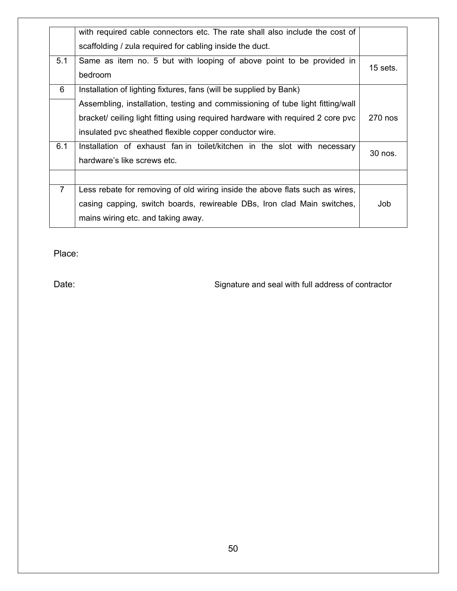|                | with required cable connectors etc. The rate shall also include the cost of     |          |
|----------------|---------------------------------------------------------------------------------|----------|
|                | scaffolding / zula required for cabling inside the duct.                        |          |
| 5.1            | Same as item no. 5 but with looping of above point to be provided in            | 15 sets. |
|                | bedroom                                                                         |          |
| 6              | Installation of lighting fixtures, fans (will be supplied by Bank)              |          |
|                | Assembling, installation, testing and commissioning of tube light fitting/wall  |          |
|                | bracket/ ceiling light fitting using required hardware with required 2 core pvc | 270 nos  |
|                | insulated pvc sheathed flexible copper conductor wire.                          |          |
| 6.1            | Installation of exhaust fan in toilet/kitchen in the slot with necessary        | 30 nos.  |
|                | hardware's like screws etc.                                                     |          |
|                |                                                                                 |          |
| $\overline{7}$ | Less rebate for removing of old wiring inside the above flats such as wires,    |          |
|                | casing capping, switch boards, rewireable DBs, Iron clad Main switches,         | Job      |
|                | mains wiring etc. and taking away.                                              |          |

Place:

Date: Case of Contractor Signature and seal with full address of contractor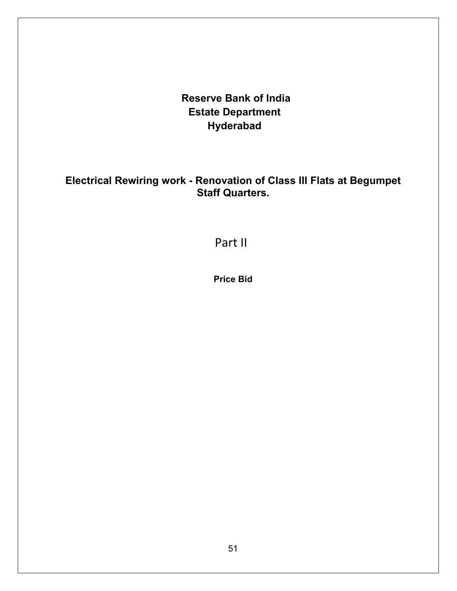**Reserve Bank of India Estate Department Hyderabad**

**Electrical Rewiring work - Renovation of Class III Flats at Begumpet Staff Quarters.** 

Part II

**Price Bid**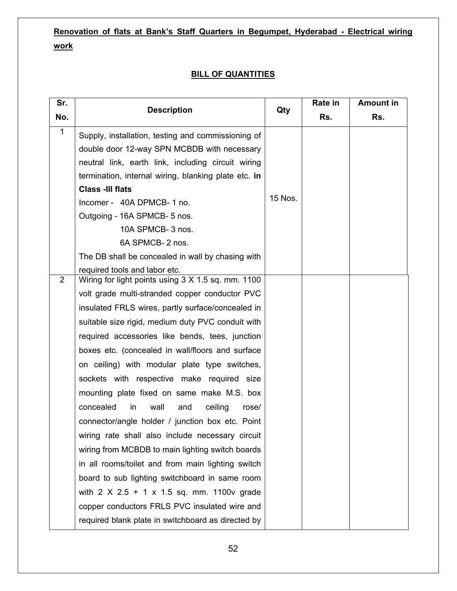# **Renovation of flats at Bank's Staff Quarters in Begumpet, Hyderabad - Electrical wiring work**

### **BILL OF QUANTITIES**

| Sr.          | <b>Description</b>                                     | Qty     | Rate in | <b>Amount in</b> |
|--------------|--------------------------------------------------------|---------|---------|------------------|
| No.          |                                                        |         | Rs.     | Rs.              |
| $\mathbf{1}$ | Supply, installation, testing and commissioning of     |         |         |                  |
|              | double door 12-way SPN MCBDB with necessary            |         |         |                  |
|              | neutral link, earth link, including circuit wiring     |         |         |                  |
|              | termination, internal wiring, blanking plate etc. in   |         |         |                  |
|              | <b>Class -III flats</b>                                |         |         |                  |
|              | Incomer - 40A DPMCB-1 no.                              | 15 Nos. |         |                  |
|              | Outgoing - 16A SPMCB- 5 nos.                           |         |         |                  |
|              | 10A SPMCB- 3 nos.                                      |         |         |                  |
|              | 6A SPMCB-2 nos.                                        |         |         |                  |
|              | The DB shall be concealed in wall by chasing with      |         |         |                  |
|              | required tools and labor etc.                          |         |         |                  |
| 2            | Wiring for light points using 3 X 1.5 sq. mm. 1100     |         |         |                  |
|              | volt grade multi-stranded copper conductor PVC         |         |         |                  |
|              | insulated FRLS wires, partly surface/concealed in      |         |         |                  |
|              | suitable size rigid, medium duty PVC conduit with      |         |         |                  |
|              | required accessories like bends, tees, junction        |         |         |                  |
|              | boxes etc. (concealed in wall/floors and surface       |         |         |                  |
|              | on ceiling) with modular plate type switches,          |         |         |                  |
|              | sockets with respective make required size             |         |         |                  |
|              | mounting plate fixed on same make M.S. box             |         |         |                  |
|              | concealed<br>ceiling<br>in<br>wall<br>and<br>rose/     |         |         |                  |
|              | connector/angle holder / junction box etc. Point       |         |         |                  |
|              | wiring rate shall also include necessary circuit       |         |         |                  |
|              | wiring from MCBDB to main lighting switch boards       |         |         |                  |
|              | in all rooms/toilet and from main lighting switch      |         |         |                  |
|              | board to sub lighting switchboard in same room         |         |         |                  |
|              | with $2 \times 2.5 + 1 \times 1.5$ sq. mm. 1100v grade |         |         |                  |
|              | copper conductors FRLS PVC insulated wire and          |         |         |                  |
|              | required blank plate in switchboard as directed by     |         |         |                  |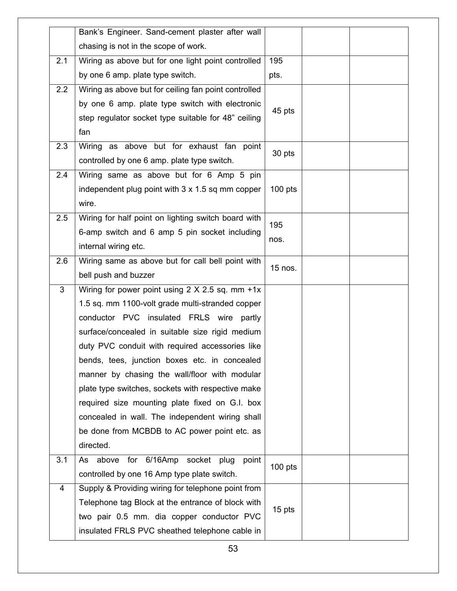|     | Bank's Engineer. Sand-cement plaster after wall          |           |
|-----|----------------------------------------------------------|-----------|
|     | chasing is not in the scope of work.                     |           |
| 2.1 | Wiring as above but for one light point controlled       | 195       |
|     | by one 6 amp. plate type switch.                         | pts.      |
| 2.2 | Wiring as above but for ceiling fan point controlled     |           |
|     | by one 6 amp. plate type switch with electronic          | 45 pts    |
|     | step regulator socket type suitable for 48" ceiling      |           |
|     | fan                                                      |           |
| 2.3 | Wiring as above but for exhaust fan point                | 30 pts    |
|     | controlled by one 6 amp. plate type switch.              |           |
| 2.4 | Wiring same as above but for 6 Amp 5 pin                 |           |
|     | independent plug point with $3 \times 1.5$ sq mm copper  | $100$ pts |
|     | wire.                                                    |           |
| 2.5 | Wiring for half point on lighting switch board with      | 195       |
|     | 6-amp switch and 6 amp 5 pin socket including            |           |
|     | internal wiring etc.                                     | nos.      |
| 2.6 | Wiring same as above but for call bell point with        |           |
|     | bell push and buzzer                                     | 15 nos.   |
| 3   | Wiring for power point using $2 \times 2.5$ sq. mm $+1x$ |           |
|     | 1.5 sq. mm 1100-volt grade multi-stranded copper         |           |
|     | conductor PVC insulated FRLS wire partly                 |           |
|     | surface/concealed in suitable size rigid medium          |           |
|     | duty PVC conduit with required accessories like          |           |
|     | bends, tees, junction boxes etc. in concealed            |           |
|     | manner by chasing the wall/floor with modular            |           |
|     | plate type switches, sockets with respective make        |           |
|     | required size mounting plate fixed on G.I. box           |           |
|     | concealed in wall. The independent wiring shall          |           |
|     | be done from MCBDB to AC power point etc. as             |           |
|     | directed.                                                |           |
| 3.1 | As above for 6/16Amp socket plug<br>point                |           |
|     | controlled by one 16 Amp type plate switch.              | $100$ pts |
| 4   | Supply & Providing wiring for telephone point from       |           |
|     | Telephone tag Block at the entrance of block with        |           |
|     | two pair 0.5 mm. dia copper conductor PVC                | 15 pts    |
|     |                                                          |           |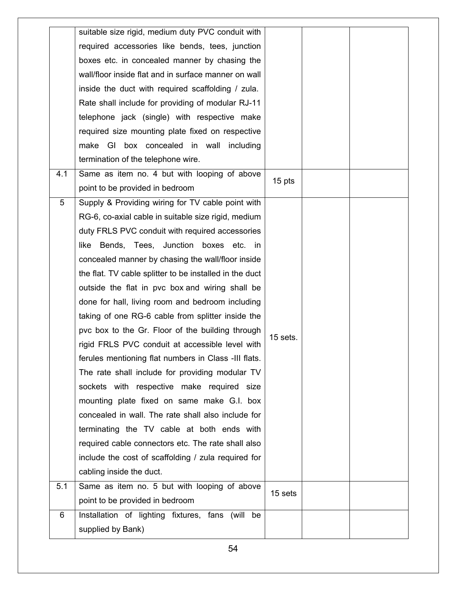|     | suitable size rigid, medium duty PVC conduit with       |            |
|-----|---------------------------------------------------------|------------|
|     | required accessories like bends, tees, junction         |            |
|     | boxes etc. in concealed manner by chasing the           |            |
|     | wall/floor inside flat and in surface manner on wall    |            |
|     | inside the duct with required scaffolding / zula.       |            |
|     | Rate shall include for providing of modular RJ-11       |            |
|     | telephone jack (single) with respective make            |            |
|     | required size mounting plate fixed on respective        |            |
|     | make GI box concealed in wall including                 |            |
|     | termination of the telephone wire.                      |            |
| 4.1 | Same as item no. 4 but with looping of above            | 15 pts     |
|     | point to be provided in bedroom                         |            |
| 5   | Supply & Providing wiring for TV cable point with       |            |
|     | RG-6, co-axial cable in suitable size rigid, medium     |            |
|     | duty FRLS PVC conduit with required accessories         |            |
|     | like Bends, Tees, Junction boxes etc. in                |            |
|     | concealed manner by chasing the wall/floor inside       |            |
|     | the flat. TV cable splitter to be installed in the duct |            |
|     | outside the flat in pvc box and wiring shall be         |            |
|     | done for hall, living room and bedroom including        |            |
|     | taking of one RG-6 cable from splitter inside the       |            |
|     | pvc box to the Gr. Floor of the building through        | $15$ sets. |
|     | rigid FRLS PVC conduit at accessible level with         |            |
|     | ferules mentioning flat numbers in Class -III flats.    |            |
|     | The rate shall include for providing modular TV         |            |
|     | sockets with respective make required size              |            |
|     | mounting plate fixed on same make G.I. box              |            |
|     | concealed in wall. The rate shall also include for      |            |
|     | terminating the TV cable at both ends with              |            |
|     | required cable connectors etc. The rate shall also      |            |
|     | include the cost of scaffolding / zula required for     |            |
|     | cabling inside the duct.                                |            |
| 5.1 | Same as item no. 5 but with looping of above            | 15 sets    |
|     | point to be provided in bedroom                         |            |
| 6   | Installation of lighting fixtures, fans (will be        |            |
|     | supplied by Bank)                                       |            |
|     |                                                         |            |